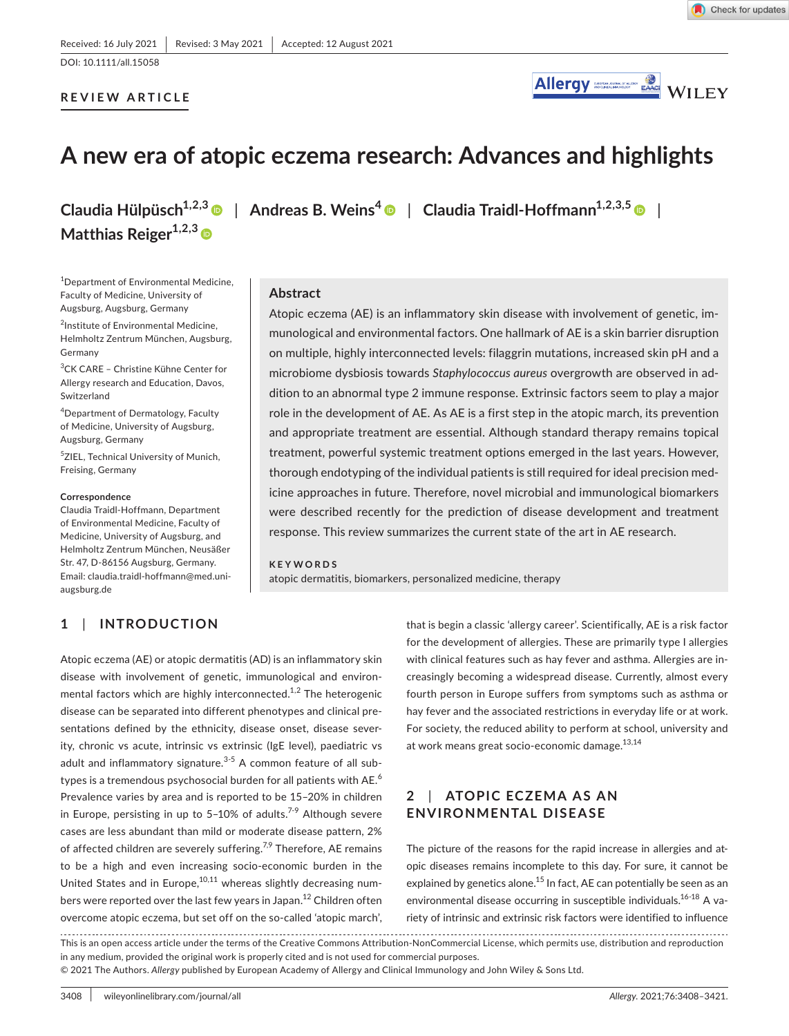DOI: 10.1111/all.15058

#### **REVIEW ARTICLE**



# **A new era of atopic eczema research: Advances and highlights**

**Matthias Reiger1,2,3**

1 Department of Environmental Medicine, Faculty of Medicine, University of Augsburg, Augsburg, Germany

2 Institute of Environmental Medicine, Helmholtz Zentrum München, Augsburg, Germany

3 CK CARE – Christine Kühne Center for Allergy research and Education, Davos, Switzerland

4 Department of Dermatology, Faculty of Medicine, University of Augsburg, Augsburg, Germany

5 ZIEL, Technical University of Munich, Freising, Germany

#### **Correspondence**

Claudia Traidl-Hoffmann, Department of Environmental Medicine, Faculty of Medicine, University of Augsburg, and Helmholtz Zentrum München, Neusäßer Str. 47, D-86156 Augsburg, Germany. Email: [claudia.traidl-hoffmann@med.uni](mailto:claudia.traidl-hoffmann@med.uni-augsburg.de)[augsburg.de](mailto:claudia.traidl-hoffmann@med.uni-augsburg.de)

### **1**  | **INTRODUCTION**

**Claudia Hülpüsch1,2,[3](https://orcid.org/0000-0002-5711-1356)** | **Andreas B. Weins[4](https://orcid.org/0000-0002-0982-7122)** | **Claudia Traidl-Hoffmann1,2,3,5** |

#### **Abstract**

Atopic eczema (AE) is an inflammatory skin disease with involvement of genetic, immunological and environmental factors. One hallmark of AE is a skin barrier disruption on multiple, highly interconnected levels: filaggrin mutations, increased skin pH and a microbiome dysbiosis towards *Staphylococcus aureus* overgrowth are observed in addition to an abnormal type 2 immune response. Extrinsic factors seem to play a major role in the development of AE. As AE is a first step in the atopic march, its prevention and appropriate treatment are essential. Although standard therapy remains topical treatment, powerful systemic treatment options emerged in the last years. However, thorough endotyping of the individual patients is still required for ideal precision medicine approaches in future. Therefore, novel microbial and immunological biomarkers were described recently for the prediction of disease development and treatment response. This review summarizes the current state of the art in AE research.

#### **KEYWORDS**

atopic dermatitis, biomarkers, personalized medicine, therapy

Atopic eczema (AE) or atopic dermatitis (AD) is an inflammatory skin disease with involvement of genetic, immunological and environmental factors which are highly interconnected.<sup>1,2</sup> The heterogenic disease can be separated into different phenotypes and clinical presentations defined by the ethnicity, disease onset, disease severity, chronic vs acute, intrinsic vs extrinsic (IgE level), paediatric vs adult and inflammatory signature.<sup>3-5</sup> A common feature of all subtypes is a tremendous psychosocial burden for all patients with  $AE<sup>6</sup>$ Prevalence varies by area and is reported to be 15–20% in children in Europe, persisting in up to 5-10% of adults.<sup>7-9</sup> Although severe cases are less abundant than mild or moderate disease pattern, 2% of affected children are severely suffering.<sup>7,9</sup> Therefore, AE remains to be a high and even increasing socio-economic burden in the United States and in Europe,<sup>10,11</sup> whereas slightly decreasing numbers were reported over the last few years in Japan.<sup>12</sup> Children often overcome atopic eczema, but set off on the so-called 'atopic march',

that is begin a classic 'allergy career'. Scientifically, AE is a risk factor for the development of allergies. These are primarily type I allergies with clinical features such as hay fever and asthma. Allergies are increasingly becoming a widespread disease. Currently, almost every fourth person in Europe suffers from symptoms such as asthma or hay fever and the associated restrictions in everyday life or at work. For society, the reduced ability to perform at school, university and at work means great socio-economic damage.<sup>13,14</sup>

# 2 | ATOPIC ECZEMA AS AN **ENVIRONMENTAL DISEASE**

The picture of the reasons for the rapid increase in allergies and atopic diseases remains incomplete to this day. For sure, it cannot be explained by genetics alone.<sup>15</sup> In fact, AE can potentially be seen as an environmental disease occurring in susceptible individuals.<sup>16-18</sup> A variety of intrinsic and extrinsic risk factors were identified to influence

This is an open access article under the terms of the [Creative Commons Attribution-NonCommercial](http://creativecommons.org/licenses/by-nc/4.0/) License, which permits use, distribution and reproduction in any medium, provided the original work is properly cited and is not used for commercial purposes.

© 2021 The Authors. *Allergy* published by European Academy of Allergy and Clinical Immunology and John Wiley & Sons Ltd.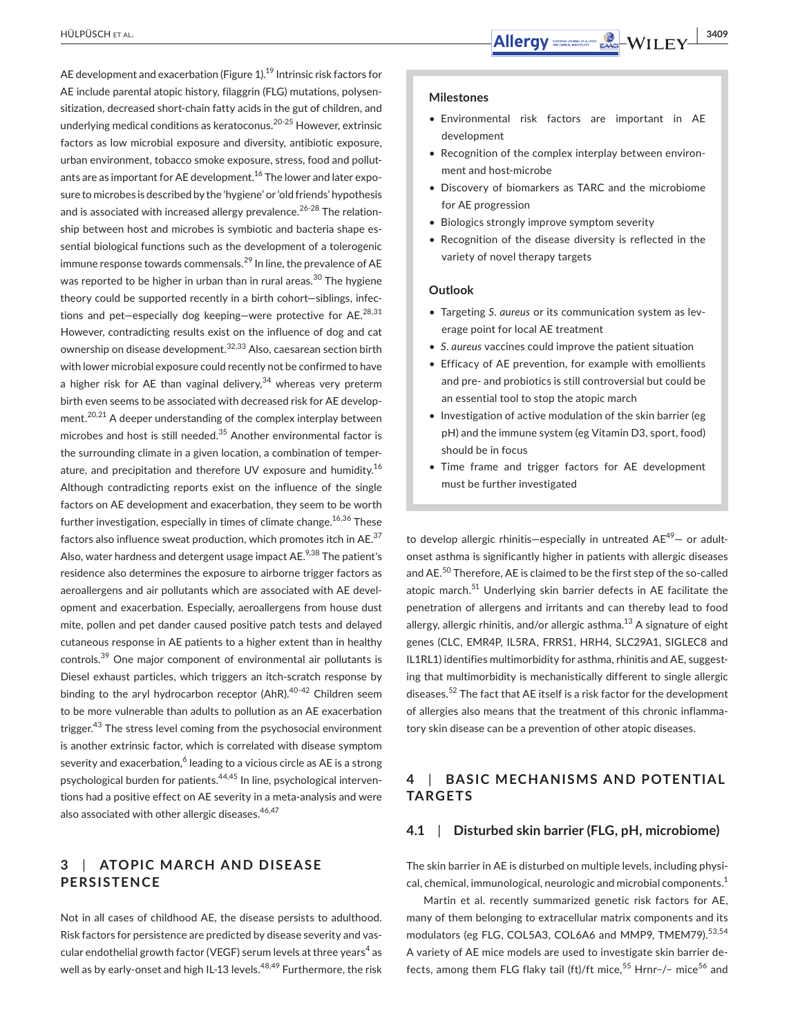AE development and exacerbation (Figure 1).<sup>19</sup> Intrinsic risk factors for AE include parental atopic history, filaggrin (FLG) mutations, polysensitization, decreased short-chain fatty acids in the gut of children, and underlying medical conditions as keratoconus.20-25 However, extrinsic factors as low microbial exposure and diversity, antibiotic exposure, urban environment, tobacco smoke exposure, stress, food and pollutants are as important for AE development.<sup>16</sup> The lower and later exposure to microbes is described by the 'hygiene' or 'old friends' hypothesis and is associated with increased allergy prevalence.<sup>26-28</sup> The relationship between host and microbes is symbiotic and bacteria shape essential biological functions such as the development of a tolerogenic immune response towards commensals.<sup>29</sup> In line, the prevalence of AE was reported to be higher in urban than in rural areas.<sup>30</sup> The hygiene theory could be supported recently in a birth cohort—siblings, infections and pet-especially dog keeping-were protective for AE. $^{28,31}$ However, contradicting results exist on the influence of dog and cat ownership on disease development.32,33 Also, caesarean section birth with lower microbial exposure could recently not be confirmed to have a higher risk for AE than vaginal delivery,  $34$  whereas very preterm birth even seems to be associated with decreased risk for AE development.<sup>20,21</sup> A deeper understanding of the complex interplay between microbes and host is still needed. $35$  Another environmental factor is the surrounding climate in a given location, a combination of temperature, and precipitation and therefore UV exposure and humidity.<sup>16</sup> Although contradicting reports exist on the influence of the single factors on AE development and exacerbation, they seem to be worth further investigation, especially in times of climate change.  $16,36$  These factors also influence sweat production, which promotes itch in AE.<sup>37</sup> Also, water hardness and detergent usage impact AE.<sup>9,38</sup> The patient's residence also determines the exposure to airborne trigger factors as aeroallergens and air pollutants which are associated with AE development and exacerbation. Especially, aeroallergens from house dust mite, pollen and pet dander caused positive patch tests and delayed cutaneous response in AE patients to a higher extent than in healthy controls.39 One major component of environmental air pollutants is Diesel exhaust particles, which triggers an itch-scratch response by binding to the aryl hydrocarbon receptor (AhR).<sup>40-42</sup> Children seem to be more vulnerable than adults to pollution as an AE exacerbation trigger.<sup>43</sup> The stress level coming from the psychosocial environment is another extrinsic factor, which is correlated with disease symptom severity and exacerbation, $^6$  leading to a vicious circle as AE is a strong psychological burden for patients.<sup>44,45</sup> In line, psychological interventions had a positive effect on AE severity in a meta-analysis and were also associated with other allergic diseases.<sup>46,47</sup>

## **3 | ATOPIC MARCH AND DISEASE PERSISTENCE**

Not in all cases of childhood AE, the disease persists to adulthood. Risk factors for persistence are predicted by disease severity and vascular endothelial growth factor (VEGF) serum levels at three years $^4$  as well as by early-onset and high IL-13 levels.<sup>48,49</sup> Furthermore, the risk

#### **Milestones**

- Environmental risk factors are important in AE development
- Recognition of the complex interplay between environment and host-microbe
- Discovery of biomarkers as TARC and the microbiome for AE progression
- Biologics strongly improve symptom severity
- Recognition of the disease diversity is reflected in the variety of novel therapy targets

#### **Outlook**

- Targeting *S*. *aureus* or its communication system as leverage point for local AE treatment
- *S. aureus* vaccines could improve the patient situation
- Efficacy of AE prevention, for example with emollients and pre- and probiotics is still controversial but could be an essential tool to stop the atopic march
- Investigation of active modulation of the skin barrier (eg pH) and the immune system (eg Vitamin D3, sport, food) should be in focus
- Time frame and trigger factors for AE development must be further investigated

to develop allergic rhinitis—especially in untreated  $AE^{49}$ — or adultonset asthma is significantly higher in patients with allergic diseases and AE.<sup>50</sup> Therefore, AE is claimed to be the first step of the so-called atopic march.<sup>51</sup> Underlying skin barrier defects in AE facilitate the penetration of allergens and irritants and can thereby lead to food allergy, allergic rhinitis, and/or allergic asthma.<sup>13</sup> A signature of eight genes (CLC, EMR4P, IL5RA, FRRS1, HRH4, SLC29A1, SIGLEC8 and IL1RL1) identifies multimorbidity for asthma, rhinitis and AE, suggesting that multimorbidity is mechanistically different to single allergic diseases.52 The fact that AE itself is a risk factor for the development of allergies also means that the treatment of this chronic inflammatory skin disease can be a prevention of other atopic diseases.

### **4**  | **BA SIC MECHANISMS AND POTENTIAL TARGETS**

#### **4.1**  | **Disturbed skin barrier (FLG, pH, microbiome)**

The skin barrier in AE is disturbed on multiple levels, including physical, chemical, immunological, neurologic and microbial components.1

Martin et al. recently summarized genetic risk factors for AE, many of them belonging to extracellular matrix components and its modulators (eg FLG, COL5A3, COL6A6 and MMP9, TMEM79).<sup>53,54</sup> A variety of AE mice models are used to investigate skin barrier defects, among them FLG flaky tail (ft)/ft mice,<sup>55</sup> Hrnr-/− mice<sup>56</sup> and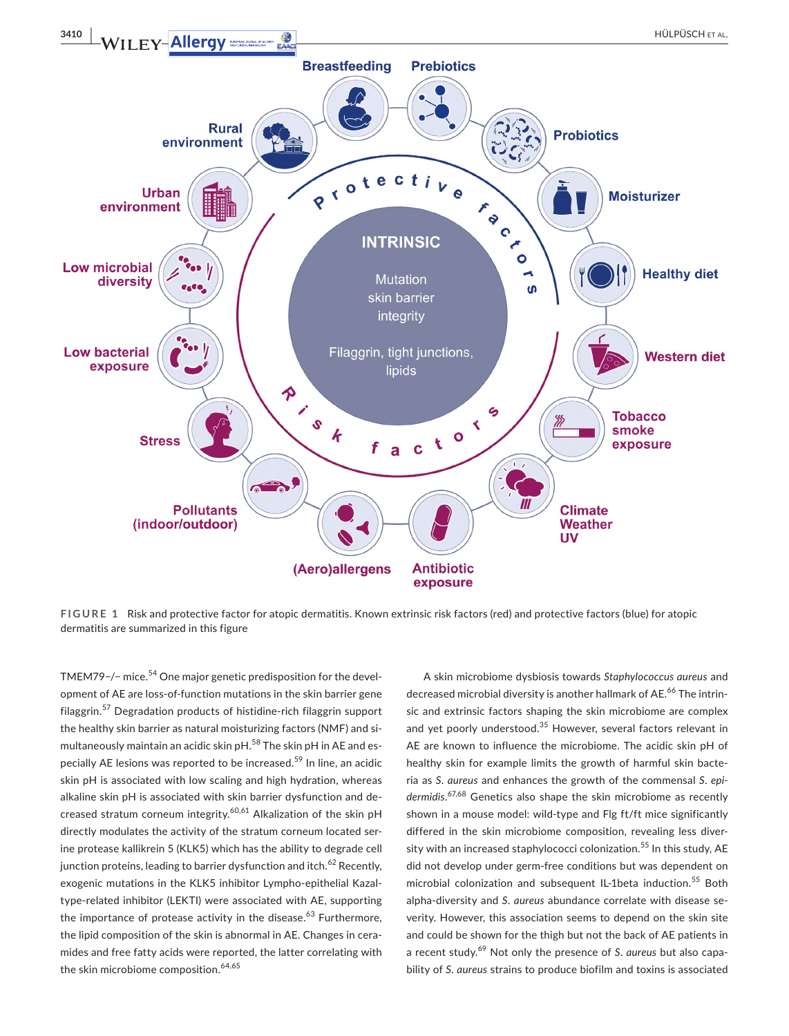

**FIGURE 1** Risk and protective factor for atopic dermatitis. Known extrinsic risk factors (red) and protective factors (blue) for atopic dermatitis are summarized in this figure

TMEM79−/− mice.<sup>54</sup> One major genetic predisposition for the development of AE are loss-of-function mutations in the skin barrier gene filaggrin.57 Degradation products of histidine-rich filaggrin support the healthy skin barrier as natural moisturizing factors (NMF) and simultaneously maintain an acidic skin pH.<sup>58</sup> The skin pH in AE and especially AE lesions was reported to be increased.<sup>59</sup> In line, an acidic skin pH is associated with low scaling and high hydration, whereas alkaline skin pH is associated with skin barrier dysfunction and decreased stratum corneum integrity.<sup>60,61</sup> Alkalization of the skin pH directly modulates the activity of the stratum corneum located serine protease kallikrein 5 (KLK5) which has the ability to degrade cell junction proteins, leading to barrier dysfunction and itch.<sup>62</sup> Recently, exogenic mutations in the KLK5 inhibitor Lympho-epithelial Kazaltype-related inhibitor (LEKTI) were associated with AE, supporting the importance of protease activity in the disease. $63$  Furthermore, the lipid composition of the skin is abnormal in AE. Changes in ceramides and free fatty acids were reported, the latter correlating with the skin microbiome composition.<sup>64,65</sup>

A skin microbiome dysbiosis towards *Staphylococcus aureus* and decreased microbial diversity is another hallmark of AE.<sup>66</sup> The intrinsic and extrinsic factors shaping the skin microbiome are complex and yet poorly understood.<sup>35</sup> However, several factors relevant in AE are known to influence the microbiome. The acidic skin pH of healthy skin for example limits the growth of harmful skin bacteria as *S*. *aureus* and enhances the growth of the commensal *S*. *epidermidis*. 67,68 Genetics also shape the skin microbiome as recently shown in a mouse model: wild-type and Flg ft/ft mice significantly differed in the skin microbiome composition, revealing less diversity with an increased staphylococci colonization.<sup>55</sup> In this study, AE did not develop under germ-free conditions but was dependent on microbial colonization and subsequent IL-1beta induction.<sup>55</sup> Both alpha-diversity and *S*. *aureus* abundance correlate with disease severity. However, this association seems to depend on the skin site and could be shown for the thigh but not the back of AE patients in a recent study.69 Not only the presence of *S*. *aureus* but also capability of *S*. *aureus* strains to produce biofilm and toxins is associated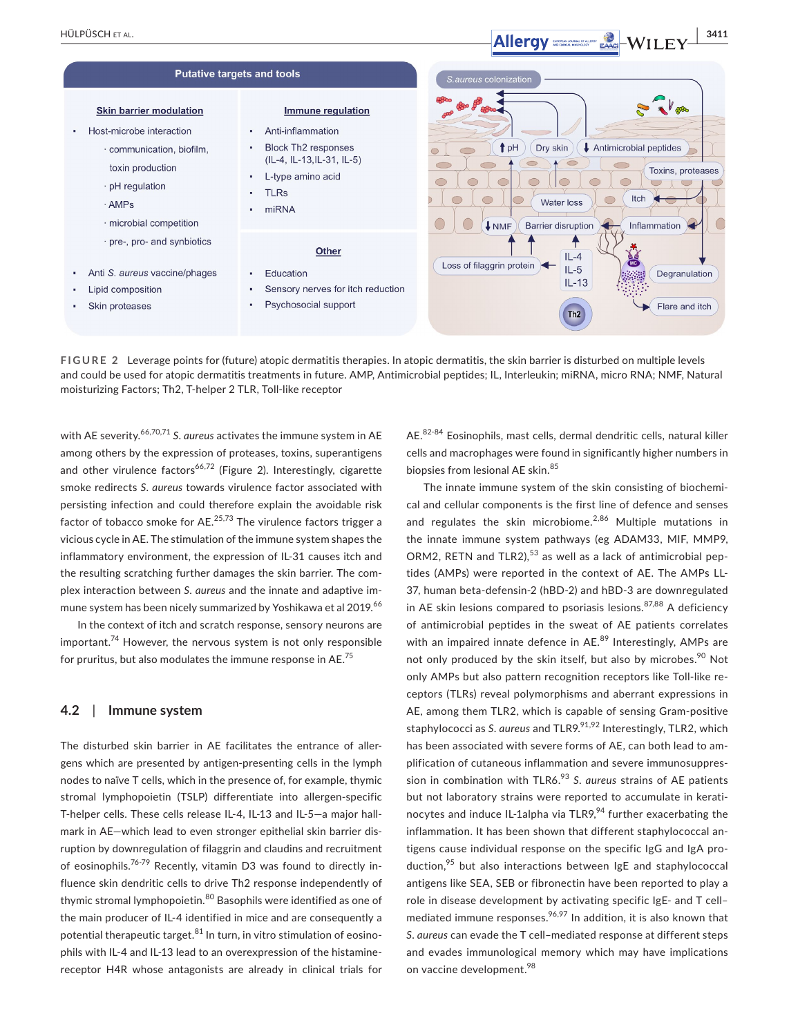

**FIGURE 2** Leverage points for (future) atopic dermatitis therapies. In atopic dermatitis, the skin barrier is disturbed on multiple levels and could be used for atopic dermatitis treatments in future. AMP, Antimicrobial peptides; IL, Interleukin; miRNA, micro RNA; NMF, Natural moisturizing Factors; Th2, T-helper 2 TLR, Toll-like receptor

with AE severity.<sup>66,70,71</sup> S. *aureus* activates the immune system in AE among others by the expression of proteases, toxins, superantigens and other virulence factors<sup>66,72</sup> (Figure 2). Interestingly, cigarette smoke redirects *S*. *aureus* towards virulence factor associated with persisting infection and could therefore explain the avoidable risk factor of tobacco smoke for  $AE$ .  $25,73$  The virulence factors trigger a vicious cycle in AE. The stimulation of the immune system shapes the inflammatory environment, the expression of IL-31 causes itch and the resulting scratching further damages the skin barrier. The complex interaction between *S*. *aureus* and the innate and adaptive immune system has been nicely summarized by Yoshikawa et al 2019.<sup>66</sup>

In the context of itch and scratch response, sensory neurons are important.<sup>74</sup> However, the nervous system is not only responsible for pruritus, but also modulates the immune response in AE.<sup>75</sup>

#### **4.2**  | **Immune system**

The disturbed skin barrier in AE facilitates the entrance of allergens which are presented by antigen-presenting cells in the lymph nodes to naïve T cells, which in the presence of, for example, thymic stromal lymphopoietin (TSLP) differentiate into allergen-specific T-helper cells. These cells release IL-4, IL-13 and IL-5—a major hallmark in AE—which lead to even stronger epithelial skin barrier disruption by downregulation of filaggrin and claudins and recruitment of eosinophils.<sup>76-79</sup> Recently, vitamin D3 was found to directly influence skin dendritic cells to drive Th2 response independently of thymic stromal lymphopoietin.<sup>80</sup> Basophils were identified as one of the main producer of IL-4 identified in mice and are consequently a potential therapeutic target. $81$  In turn, in vitro stimulation of eosinophils with IL-4 and IL-13 lead to an overexpression of the histaminereceptor H4R whose antagonists are already in clinical trials for

AE.82-84 Eosinophils, mast cells, dermal dendritic cells, natural killer cells and macrophages were found in significantly higher numbers in biopsies from lesional AE skin.<sup>85</sup>

The innate immune system of the skin consisting of biochemical and cellular components is the first line of defence and senses and regulates the skin microbiome. $2,86$  Multiple mutations in the innate immune system pathways (eg ADAM33, MIF, MMP9, ORM2, RETN and TLR2), $53$  as well as a lack of antimicrobial peptides (AMPs) were reported in the context of AE. The AMPs LL-37, human beta-defensin-2 (hBD-2) and hBD-3 are downregulated in AE skin lesions compared to psoriasis lesions. $87,88$  A deficiency of antimicrobial peptides in the sweat of AE patients correlates with an impaired innate defence in AE.<sup>89</sup> Interestingly, AMPs are not only produced by the skin itself, but also by microbes.<sup>90</sup> Not only AMPs but also pattern recognition receptors like Toll-like receptors (TLRs) reveal polymorphisms and aberrant expressions in AE, among them TLR2, which is capable of sensing Gram-positive staphylococci as *S. aureus* and TLR9.<sup>91,92</sup> Interestingly, TLR2, which has been associated with severe forms of AE, can both lead to amplification of cutaneous inflammation and severe immunosuppression in combination with TLR6.93 *S*. *aureus* strains of AE patients but not laboratory strains were reported to accumulate in keratinocytes and induce IL-1alpha via TLR9, $94$  further exacerbating the inflammation. It has been shown that different staphylococcal antigens cause individual response on the specific IgG and IgA production, $95$  but also interactions between IgE and staphylococcal antigens like SEA, SEB or fibronectin have been reported to play a role in disease development by activating specific IgE- and T cell– mediated immune responses. $96,97$  In addition, it is also known that *S*. *aureus* can evade the T cell–mediated response at different steps and evades immunological memory which may have implications on vaccine development.<sup>98</sup>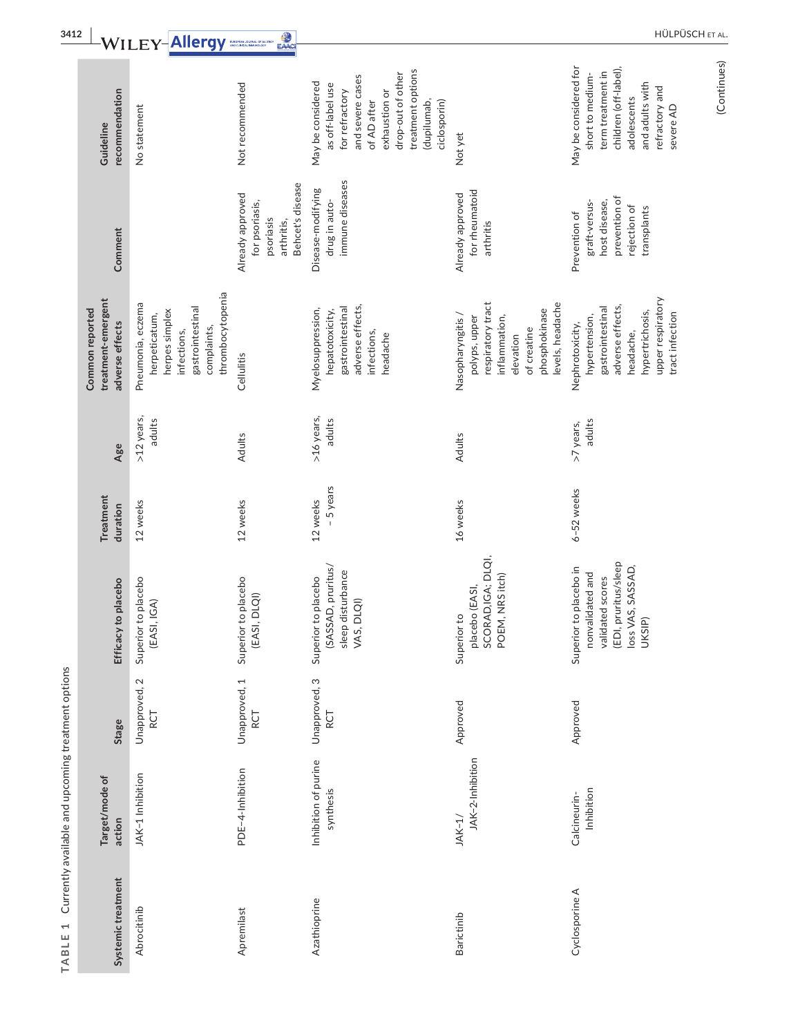| recommendation<br>Guideline                              | No statement                                                                                                               | Not recommended                                                                   | treatment options<br>drop-out of other<br>and severe cases<br>May be considered<br>as off-label use<br>for refractory<br>exhaustion or<br>ciclosporin)<br>of AD after<br>(dupilumab, | Not yet                                                                                                                                   | May be considered for<br>children (off-label),<br>term treatment in<br>short to medium-<br>and adults with<br>refractory and<br>adolescents<br>severe AD |
|----------------------------------------------------------|----------------------------------------------------------------------------------------------------------------------------|-----------------------------------------------------------------------------------|--------------------------------------------------------------------------------------------------------------------------------------------------------------------------------------|-------------------------------------------------------------------------------------------------------------------------------------------|----------------------------------------------------------------------------------------------------------------------------------------------------------|
| Comment                                                  |                                                                                                                            | Behcet's disease<br>Already approved<br>for psoriasis,<br>psoriasis<br>arthritis, | immune diseases<br>Disease-modifying<br>drug in auto-                                                                                                                                | for rheumatoid<br>Already approved<br>arthritis                                                                                           | prevention of<br>host disease,<br>graft-versus-<br>rejection of<br>transplants<br>Prevention of                                                          |
| treatment-emergent<br>Common reported<br>adverse effects | thrombocytopenia<br>Pneumonia, eczema<br>gastrointestinal<br>herpes simplex<br>herpeticatum,<br>complaints,<br>infections, | Cellulitis                                                                        | adverse effects,<br>gastrointestinal<br>Myelosuppression,<br>hepatotoxicity,<br>infections,<br>headache                                                                              | respiratory tract<br>levels, headache<br>phosphokinase<br>Nasopharyngitis /<br>inflammation,<br>polyps, upper<br>of creatine<br>elevation | upper respiratory<br>adverse effects,<br>gastrointestinal<br>hypertrichosis,<br>tract infection<br>hypertension,<br>Nephrotoxicity,<br>headache,         |
| Age                                                      | >12 years,<br>adults                                                                                                       | Adults                                                                            | >16 years,<br>adults                                                                                                                                                                 | Adults                                                                                                                                    | adults<br>>7 years,                                                                                                                                      |
| Treatment<br>duration                                    | 12 weeks                                                                                                                   | 12 weeks                                                                          | - 5 years<br>12 weeks                                                                                                                                                                | 16 weeks                                                                                                                                  | 6-52 weeks                                                                                                                                               |
| Efficacy to placebo                                      | Superior to placebo<br>(EASI,IGA)                                                                                          | Superior to placebo<br>(EASI, DLQI)                                               | (SASSAD, pruritus/<br>sleep disturbance<br>VAS, DLQI)<br>Superior to placebo                                                                                                         | placebo (EASI,<br>SCORAD,IGA; DLQI,<br>POEM, NRS itch)<br>Superior to                                                                     | (EDI, pruritus/sleep<br>loss VAS, SASSAD,<br>UKSIP)<br>Superior to placebo in<br>nonvalidated and<br>validated scores                                    |
| Stage                                                    | Unapproved, 2<br>RCT                                                                                                       | Unapproved, 1<br><b>RCT</b>                                                       | Unapproved, 3<br><b>RCT</b>                                                                                                                                                          | Approved                                                                                                                                  | Approved                                                                                                                                                 |
| Target/mode of<br>action                                 | JAK-1 Inhibition                                                                                                           | PDE-4-Inhibition                                                                  | Inhibition of purine<br>synthesis                                                                                                                                                    | JAK-2-Inhibition<br>$JAK-1/$                                                                                                              | Inhibition<br>Calcineurin-                                                                                                                               |
| Systemic treatment                                       | Abrocitinib                                                                                                                | Apremilast                                                                        | Azathioprine                                                                                                                                                                         | Barictinib                                                                                                                                | Cyclosporine A                                                                                                                                           |

TABLE 1 Currently available and upcoming treatment options **TABLE 1** Currently available and upcoming treatment options

(Continues)

(Continues)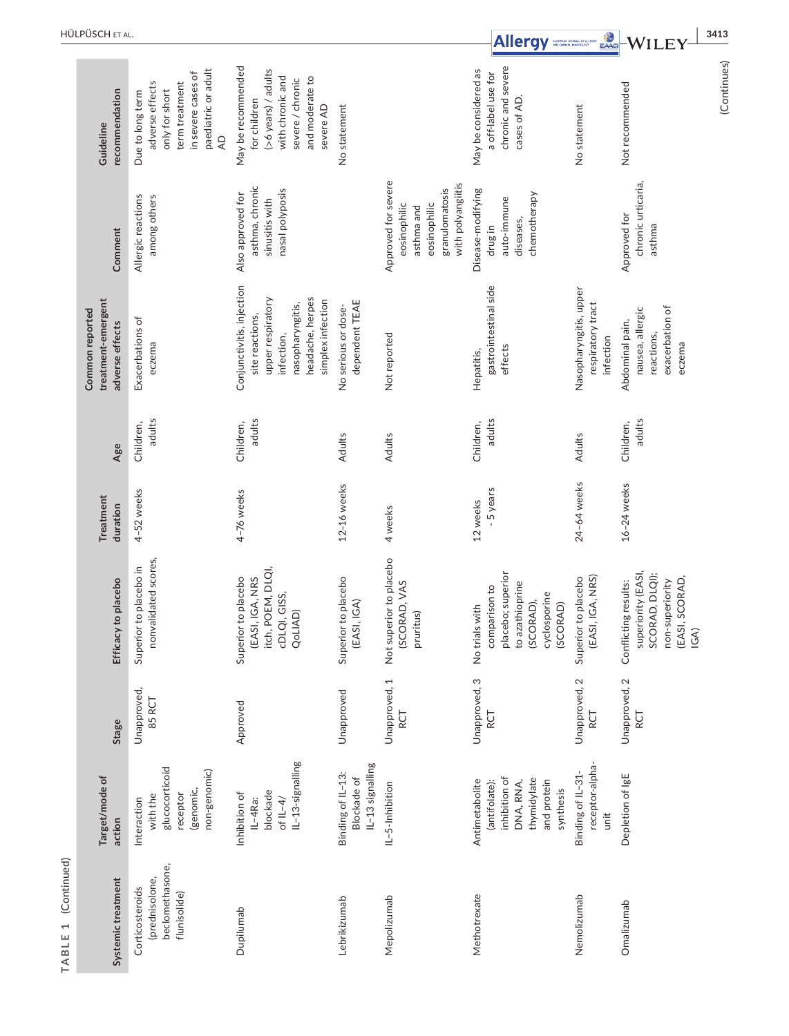|                                                  | HÜLPÜSCH ET AL.                                          |                                                                                                                                        |                                                                                                                                              |                                                      |                                                                                                          | Allergy                                                                                                          | EAACI                                                    |                                                                                                           | 3413        |
|--------------------------------------------------|----------------------------------------------------------|----------------------------------------------------------------------------------------------------------------------------------------|----------------------------------------------------------------------------------------------------------------------------------------------|------------------------------------------------------|----------------------------------------------------------------------------------------------------------|------------------------------------------------------------------------------------------------------------------|----------------------------------------------------------|-----------------------------------------------------------------------------------------------------------|-------------|
|                                                  | recommendation<br>Guideline                              | paediatric or adult<br>in severe cases of<br>adverse effects<br>term treatment<br>only for short<br>Due to long term<br>$\overline{4}$ | May be recommended<br>(>6 years) / adults<br>with chronic and<br>and moderate to<br>severe / chronic<br>for children<br>severe AD            | No statement                                         |                                                                                                          | chronic and severe<br>May be considered as<br>a off-label use for<br>cases of AD.                                | No statement                                             | Not recommended                                                                                           | (Continues) |
|                                                  | Comment                                                  | Allergic reactions<br>among others                                                                                                     | asthma, chronic<br>nasal polyposis<br>Also approved for<br>sinusitis with                                                                    |                                                      | Approved for severe<br>with polyangiitis<br>granulomatosis<br>eosinophilic<br>eosinophilic<br>asthma and | Disease-modifying<br>chemotherapy<br>auto-immune<br>diseases,<br>drug in                                         |                                                          | chronic urticaria,<br>Approved for<br>asthma                                                              |             |
|                                                  | treatment-emergent<br>Common reported<br>adverse effects | Exacerbations of<br>eczema                                                                                                             | Conjunctivitis, injection<br>headache, herpes<br>upper respiratory<br>simplex infection<br>nasopharyngitis,<br>site reactions,<br>infection, | dependent TEAE<br>No serious or dose-                | Not reported                                                                                             | gastrointestinal side<br>effects<br>Hepatitis,                                                                   | Nasopharyngitis, upper<br>respiratory tract<br>infection | exacerbation of<br>nausea, allergic<br>Abdominal pain,<br>reactions,<br>eczema                            |             |
|                                                  | Age                                                      | adults<br>Children,                                                                                                                    | adults<br>Children,                                                                                                                          | Adults                                               | Adults                                                                                                   | adults<br>Children,                                                                                              | Adults                                                   | adults<br>Children,                                                                                       |             |
|                                                  | Treatment<br>duration                                    | 4-52 weeks                                                                                                                             | 4-76 weeks                                                                                                                                   | 12-16 weeks                                          | 4 weeks                                                                                                  | - 5 years<br>12 weeks                                                                                            | 24-64 weeks                                              | $16-24$ weeks                                                                                             |             |
|                                                  | Efficacy to placebo                                      | nonvalidated scores,<br>Superior to placebo in                                                                                         | itch, POEM, DLQI,<br>Superior to placebo<br>(EASI, IGA, NRS<br>GISS,<br>QoLIAD)<br>cDLQI,                                                    | Superior to placebo<br>(GA)<br>(EASI, I              | Not superior to placebo<br>(SCORAD, VAS<br>pruritus)                                                     | placebo; superior<br>to azathioprine<br>comparison to<br>cyclosporine<br>(SCORAD),<br>(SCORAD)<br>No trials with | (EASI, IGA, NRS)<br>Superior to placebo                  | superiority (EASI,<br>SCORAD, DLQI);<br>(EASI, SCORAD,<br>non-superiority<br>Conflicting results:<br>IGA) |             |
|                                                  | <b>Stage</b>                                             | Unapproved,<br>85 RCT                                                                                                                  | Approved                                                                                                                                     | Unapproved                                           | Unapproved, 1<br>RCT                                                                                     | Unapproved, 3<br>RCT                                                                                             | Unapproved, 2<br>5<br>S                                  | Unapproved, 2<br>RCT                                                                                      |             |
|                                                  | Target/mode of<br>action                                 | glucocorticoid<br>non-genomic)<br>(genomic,<br>receptor<br>with the<br>Interaction                                                     | IL-13-signalling<br>blockade<br>Inhibition of<br>IL-4Ra:<br>of $IL-4/$                                                                       | IL-13 signalling<br>Binding of IL-13:<br>Blockade of | IL-5-Inhibition                                                                                          | inhibition of<br>thymidylate<br>Antimetabolite<br>DNA, RNA,<br>and protein<br>(antifolate):<br>synthesis         | receptor-alpha-<br>Binding of IL-31-<br>unit             | Depletion of IgE                                                                                          |             |
| (Continued)<br>$\overline{\phantom{0}}$<br>TABLE | Systemic treatment                                       | beclomethasone,<br>(prednisolone,<br>Corticosteroids<br>flunisolide)                                                                   | Dupilumab                                                                                                                                    | Lebrikizumab                                         | Mepolizumab                                                                                              | Methotrexate                                                                                                     | Nemolizumab                                              | Omalizumab                                                                                                |             |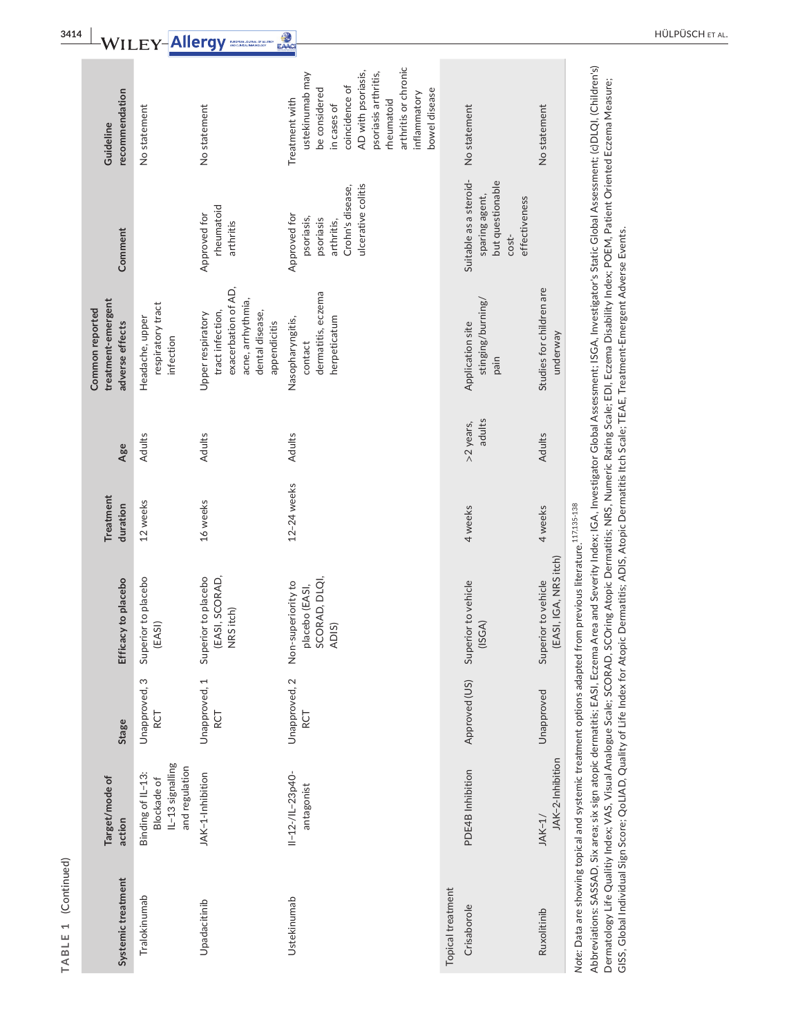| recommendation<br>Guideline                              | No statement                                                           | No statement                                                                                                         | arthritis or chronic<br>AD with psoriasis,<br>psoriasis arthritis,<br>ustekinumab may<br>coincidence of<br>bowel disease<br>be considered<br>inflammatory<br>Treatment with<br>rheumatoid<br>in cases of | No statement                                                                             | No statement                                 |                                                                                                                                                                                                                                                                                                                                                                                                                                                                                                                                                                                          |
|----------------------------------------------------------|------------------------------------------------------------------------|----------------------------------------------------------------------------------------------------------------------|----------------------------------------------------------------------------------------------------------------------------------------------------------------------------------------------------------|------------------------------------------------------------------------------------------|----------------------------------------------|------------------------------------------------------------------------------------------------------------------------------------------------------------------------------------------------------------------------------------------------------------------------------------------------------------------------------------------------------------------------------------------------------------------------------------------------------------------------------------------------------------------------------------------------------------------------------------------|
| Comment                                                  |                                                                        | rheumatoid<br>Approved for<br>arthritis                                                                              | ulcerative colitis<br>Crohn's disease,<br>Approved for<br>psoriasis,<br>psoriasis<br>arthritis,                                                                                                          | Suitable as a steroid-<br>but questionable<br>sparing agent,<br>effectiveness<br>$cost-$ |                                              |                                                                                                                                                                                                                                                                                                                                                                                                                                                                                                                                                                                          |
| treatment-emergent<br>Common reported<br>adverse effects | respiratory tract<br>Headache, upper<br>infection                      | exacerbation of AD,<br>acne, arrhythmia,<br>tract infection,<br>dental disease,<br>Upper respiratory<br>appendicitis | dermatitis, eczema<br>herpeticatum<br>Nasopharyngitis,<br>contact                                                                                                                                        | stinging/burning/<br>Application site<br>pain                                            | Studies for children are<br>underway         | Abbreviations: SASSAD, Six area; six sign atopic dermatitis; EASI, Eczema Area and Severity Index; IGA, Investigator Global Assessment; ISGA, Investigator's Static Global Assessment; (c)DLQI, (Children's)<br>Dermatology Life Qualitiy Index; VAS, Visual Analogue Scale; SCORAD, SCOring Atopic Dermatitis; NRS, Numeric Rating Scale; EDI, Eczema Disability Index; POEM, Patient Oriented Eczema Measure;<br>GISS, Global Individual Sign Score; QoLIAD, Quality of Life Index for Atopic Dermatitis; ADIS, Atopic Dermatitis Itch Scale; TEAE, Treatment-Emergent Adverse Events. |
| Age                                                      | Adults                                                                 | Adults                                                                                                               | Adults                                                                                                                                                                                                   | adults<br>>2 years,                                                                      | Adults                                       |                                                                                                                                                                                                                                                                                                                                                                                                                                                                                                                                                                                          |
| Treatment<br>duration                                    | 12 weeks                                                               | 16 weeks                                                                                                             | 12-24 weeks                                                                                                                                                                                              | 4 weeks                                                                                  | 4 weeks                                      |                                                                                                                                                                                                                                                                                                                                                                                                                                                                                                                                                                                          |
| Efficacy to placebo                                      | Superior to placebo<br>(EASI)                                          | Superior to placebo<br>(EASI, SCORAD,<br>NRS itch)                                                                   | SCORAD, DLQI,<br>Non-superiority to<br>placebo (EASI,<br>ADIS)                                                                                                                                           | Superior to vehicle<br>(ISSA)                                                            | (EASI, IGA, NRS itch)<br>Superior to vehicle | Note: Data are showing topical and systemic treatment options adapted from previous literature. <sup>117,135-138</sup>                                                                                                                                                                                                                                                                                                                                                                                                                                                                   |
| Stage                                                    | Unapproved, 3<br>RCT                                                   | Unapproved, 1<br>RCT<br>X                                                                                            | Unapproved, 2<br>RCT                                                                                                                                                                                     | Approved (US)                                                                            | Unapproved                                   |                                                                                                                                                                                                                                                                                                                                                                                                                                                                                                                                                                                          |
| Target/mode of<br>action                                 | IL-13 signalling<br>and regulation<br>Binding of IL-13:<br>Blockade of | JAK-1-Inhibition                                                                                                     | $11 - 12 - 11 - 23p40$<br>antagonist                                                                                                                                                                     | PDE4B Inhibition                                                                         | JAK-2-Inhibition<br>$JAK-1/$                 |                                                                                                                                                                                                                                                                                                                                                                                                                                                                                                                                                                                          |
| Systemic treatment                                       | Tralokinumab                                                           | Upadacitinib                                                                                                         | Ustekinumab                                                                                                                                                                                              | Topical treatment<br>Crisaborole                                                         | Ruxolitinib                                  |                                                                                                                                                                                                                                                                                                                                                                                                                                                                                                                                                                                          |

**TABLE 1** (Continued)

TABLE 1 (Continued)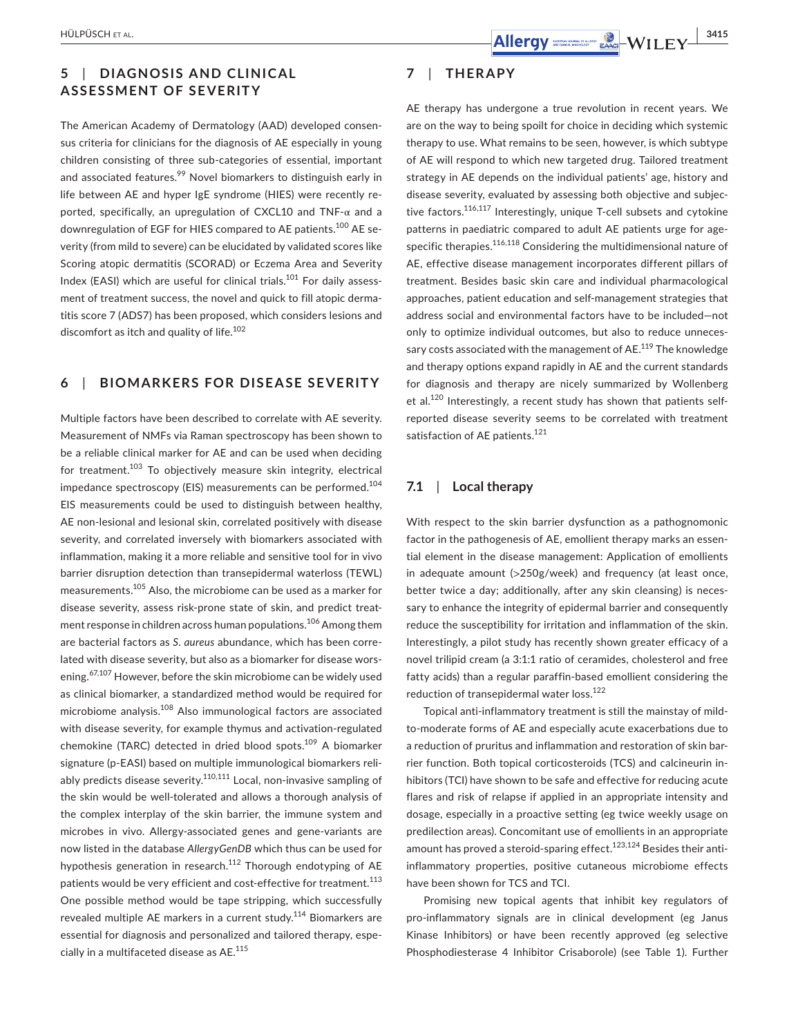# **5**  | **DIAGNOSIS AND CLINIC AL ASSESSMENT OF SEVERITY**

The American Academy of Dermatology (AAD) developed consensus criteria for clinicians for the diagnosis of AE especially in young children consisting of three sub-categories of essential, important and associated features.<sup>99</sup> Novel biomarkers to distinguish early in life between AE and hyper IgE syndrome (HIES) were recently reported, specifically, an upregulation of CXCL10 and TNF-α and a downregulation of EGF for HIES compared to AE patients.<sup>100</sup> AE severity (from mild to severe) can be elucidated by validated scores like Scoring atopic dermatitis (SCORAD) or Eczema Area and Severity Index (EASI) which are useful for clinical trials.101 For daily assessment of treatment success, the novel and quick to fill atopic dermatitis score 7 (ADS7) has been proposed, which considers lesions and discomfort as itch and quality of life.<sup>102</sup>

### **6**  | **BIOMARKERS FOR DISEASE SEVERITY**

Multiple factors have been described to correlate with AE severity. Measurement of NMFs via Raman spectroscopy has been shown to be a reliable clinical marker for AE and can be used when deciding for treatment.<sup>103</sup> To objectively measure skin integrity, electrical impedance spectroscopy (EIS) measurements can be performed.<sup>104</sup> EIS measurements could be used to distinguish between healthy, AE non-lesional and lesional skin, correlated positively with disease severity, and correlated inversely with biomarkers associated with inflammation, making it a more reliable and sensitive tool for in vivo barrier disruption detection than transepidermal waterloss (TEWL) measurements.105 Also, the microbiome can be used as a marker for disease severity, assess risk-prone state of skin, and predict treatment response in children across human populations.<sup>106</sup> Among them are bacterial factors as *S*. *aureus* abundance, which has been correlated with disease severity, but also as a biomarker for disease worsening.<sup>67,107</sup> However, before the skin microbiome can be widely used as clinical biomarker, a standardized method would be required for microbiome analysis.<sup>108</sup> Also immunological factors are associated with disease severity, for example thymus and activation-regulated chemokine (TARC) detected in dried blood spots.<sup>109</sup> A biomarker signature (p-EASI) based on multiple immunological biomarkers reliably predicts disease severity.<sup>110,111</sup> Local, non-invasive sampling of the skin would be well-tolerated and allows a thorough analysis of the complex interplay of the skin barrier, the immune system and microbes in vivo. Allergy-associated genes and gene-variants are now listed in the database *AllergyGenDB* which thus can be used for hypothesis generation in research.<sup>112</sup> Thorough endotyping of AE patients would be very efficient and cost-effective for treatment.<sup>113</sup> One possible method would be tape stripping, which successfully revealed multiple AE markers in a current study.<sup>114</sup> Biomarkers are essential for diagnosis and personalized and tailored therapy, especially in a multifaceted disease as AE.<sup>115</sup>

### **7**  | **THERAPY**

AE therapy has undergone a true revolution in recent years. We are on the way to being spoilt for choice in deciding which systemic therapy to use. What remains to be seen, however, is which subtype of AE will respond to which new targeted drug. Tailored treatment strategy in AE depends on the individual patients' age, history and disease severity, evaluated by assessing both objective and subjective factors.<sup>116,117</sup> Interestingly, unique T-cell subsets and cytokine patterns in paediatric compared to adult AE patients urge for agespecific therapies.<sup>116,118</sup> Considering the multidimensional nature of AE, effective disease management incorporates different pillars of treatment. Besides basic skin care and individual pharmacological approaches, patient education and self-management strategies that address social and environmental factors have to be included—not only to optimize individual outcomes, but also to reduce unnecessary costs associated with the management of AE.<sup>119</sup> The knowledge and therapy options expand rapidly in AE and the current standards for diagnosis and therapy are nicely summarized by Wollenberg et al.120 Interestingly, a recent study has shown that patients selfreported disease severity seems to be correlated with treatment satisfaction of AE patients.<sup>121</sup>

#### **7.1**  | **Local therapy**

With respect to the skin barrier dysfunction as a pathognomonic factor in the pathogenesis of AE, emollient therapy marks an essential element in the disease management: Application of emollients in adequate amount (>250g/week) and frequency (at least once, better twice a day; additionally, after any skin cleansing) is necessary to enhance the integrity of epidermal barrier and consequently reduce the susceptibility for irritation and inflammation of the skin. Interestingly, a pilot study has recently shown greater efficacy of a novel trilipid cream (a 3:1:1 ratio of ceramides, cholesterol and free fatty acids) than a regular paraffin-based emollient considering the reduction of transepidermal water loss.<sup>122</sup>

Topical anti-inflammatory treatment is still the mainstay of mildto-moderate forms of AE and especially acute exacerbations due to a reduction of pruritus and inflammation and restoration of skin barrier function. Both topical corticosteroids (TCS) and calcineurin inhibitors (TCI) have shown to be safe and effective for reducing acute flares and risk of relapse if applied in an appropriate intensity and dosage, especially in a proactive setting (eg twice weekly usage on predilection areas). Concomitant use of emollients in an appropriate amount has proved a steroid-sparing effect.<sup>123,124</sup> Besides their antiinflammatory properties, positive cutaneous microbiome effects have been shown for TCS and TCI.

Promising new topical agents that inhibit key regulators of pro-inflammatory signals are in clinical development (eg Janus Kinase Inhibitors) or have been recently approved (eg selective Phosphodiesterase 4 Inhibitor Crisaborole) (see Table 1). Further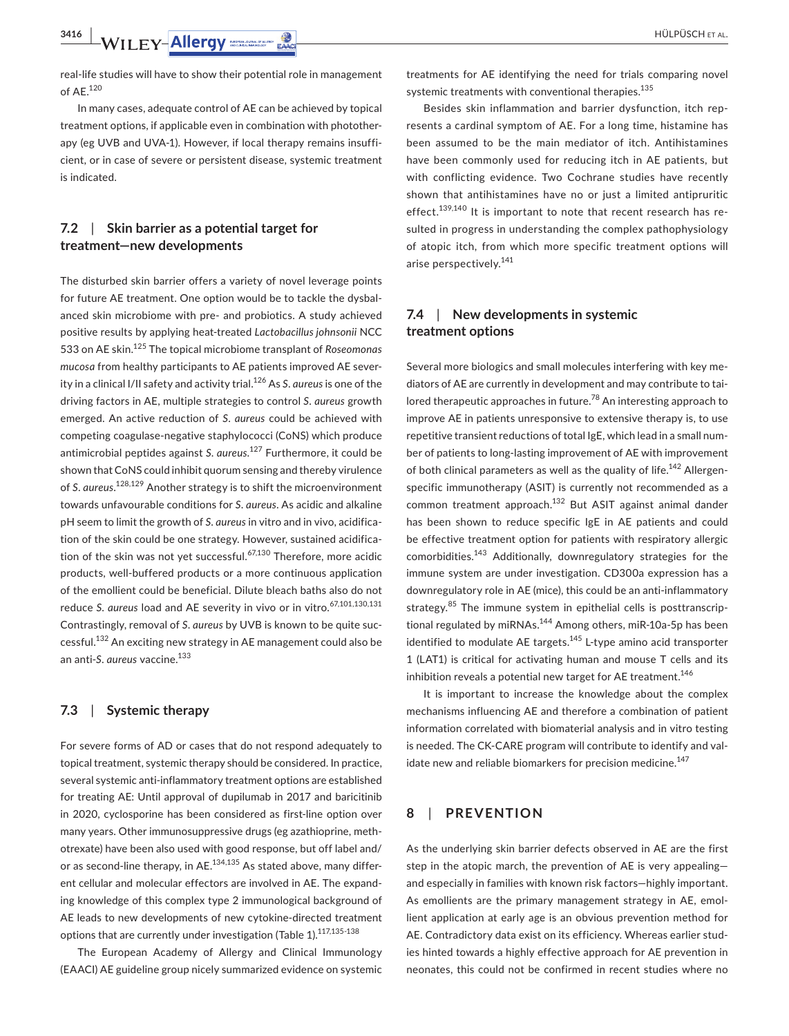**3416 | WILEY-Allergy** MOLER MAN **PULPÜSCH ET AL.** 

real-life studies will have to show their potential role in management of AE.120

In many cases, adequate control of AE can be achieved by topical treatment options, if applicable even in combination with phototherapy (eg UVB and UVA-1). However, if local therapy remains insufficient, or in case of severe or persistent disease, systemic treatment is indicated.

### **7.2**  | **Skin barrier as a potential target for treatment—new developments**

The disturbed skin barrier offers a variety of novel leverage points for future AE treatment. One option would be to tackle the dysbalanced skin microbiome with pre- and probiotics. A study achieved positive results by applying heat-treated *Lactobacillus johnsonii* NCC 533 on AE skin.125 The topical microbiome transplant of *Roseomonas mucosa* from healthy participants to AE patients improved AE severity in a clinical I/II safety and activity trial.126 As *S*. *aureus* is one of the driving factors in AE, multiple strategies to control *S*. *aureus* growth emerged. An active reduction of *S*. *aureus* could be achieved with competing coagulase-negative staphylococci (CoNS) which produce antimicrobial peptides against *S*. *aureus*. 127 Furthermore, it could be shown that CoNS could inhibit quorum sensing and thereby virulence of *S*. *aureus*. 128,129 Another strategy is to shift the microenvironment towards unfavourable conditions for *S*. *aureus*. As acidic and alkaline pH seem to limit the growth of *S*. *aureus* in vitro and in vivo, acidification of the skin could be one strategy. However, sustained acidification of the skin was not yet successful. $67,130$  Therefore, more acidic products, well-buffered products or a more continuous application of the emollient could be beneficial. Dilute bleach baths also do not reduce *S. aureus* load and AE severity in vivo or in vitro.<sup>67,101,130,131</sup> Contrastingly, removal of *S*. *aureus* by UVB is known to be quite successful.<sup>132</sup> An exciting new strategy in AE management could also be an anti-*S*. *aureus* vaccine.133

#### **7.3**  | **Systemic therapy**

For severe forms of AD or cases that do not respond adequately to topical treatment, systemic therapy should be considered. In practice, several systemic anti-inflammatory treatment options are established for treating AE: Until approval of dupilumab in 2017 and baricitinib in 2020, cyclosporine has been considered as first-line option over many years. Other immunosuppressive drugs (eg azathioprine, methotrexate) have been also used with good response, but off label and/ or as second-line therapy, in  $AE$ <sup>134,135</sup> As stated above, many different cellular and molecular effectors are involved in AE. The expanding knowledge of this complex type 2 immunological background of AE leads to new developments of new cytokine-directed treatment options that are currently under investigation (Table 1).<sup>117,135-138</sup>

The European Academy of Allergy and Clinical Immunology (EAACI) AE guideline group nicely summarized evidence on systemic

treatments for AE identifying the need for trials comparing novel systemic treatments with conventional therapies.<sup>135</sup>

Besides skin inflammation and barrier dysfunction, itch represents a cardinal symptom of AE. For a long time, histamine has been assumed to be the main mediator of itch. Antihistamines have been commonly used for reducing itch in AE patients, but with conflicting evidence. Two Cochrane studies have recently shown that antihistamines have no or just a limited antipruritic effect.<sup>139,140</sup> It is important to note that recent research has resulted in progress in understanding the complex pathophysiology of atopic itch, from which more specific treatment options will arise perspectively.<sup>141</sup>

### **7.4**  | **New developments in systemic treatment options**

Several more biologics and small molecules interfering with key mediators of AE are currently in development and may contribute to tailored therapeutic approaches in future.<sup>78</sup> An interesting approach to improve AE in patients unresponsive to extensive therapy is, to use repetitive transient reductions of total IgE, which lead in a small number of patients to long-lasting improvement of AE with improvement of both clinical parameters as well as the quality of life.<sup>142</sup> Allergenspecific immunotherapy (ASIT) is currently not recommended as a common treatment approach.132 But ASIT against animal dander has been shown to reduce specific IgE in AE patients and could be effective treatment option for patients with respiratory allergic comorbidities.143 Additionally, downregulatory strategies for the immune system are under investigation. CD300a expression has a downregulatory role in AE (mice), this could be an anti-inflammatory strategy.<sup>85</sup> The immune system in epithelial cells is posttranscriptional regulated by miRNAs.<sup>144</sup> Among others, miR-10a-5p has been identified to modulate AE targets. $145$  L-type amino acid transporter 1 (LAT1) is critical for activating human and mouse T cells and its inhibition reveals a potential new target for AE treatment.<sup>146</sup>

It is important to increase the knowledge about the complex mechanisms influencing AE and therefore a combination of patient information correlated with biomaterial analysis and in vitro testing is needed. The CK-CARE program will contribute to identify and validate new and reliable biomarkers for precision medicine.<sup>147</sup>

#### **8**  | **PREVENTION**

As the underlying skin barrier defects observed in AE are the first step in the atopic march, the prevention of AE is very appealing and especially in families with known risk factors—highly important. As emollients are the primary management strategy in AE, emollient application at early age is an obvious prevention method for AE. Contradictory data exist on its efficiency. Whereas earlier studies hinted towards a highly effective approach for AE prevention in neonates, this could not be confirmed in recent studies where no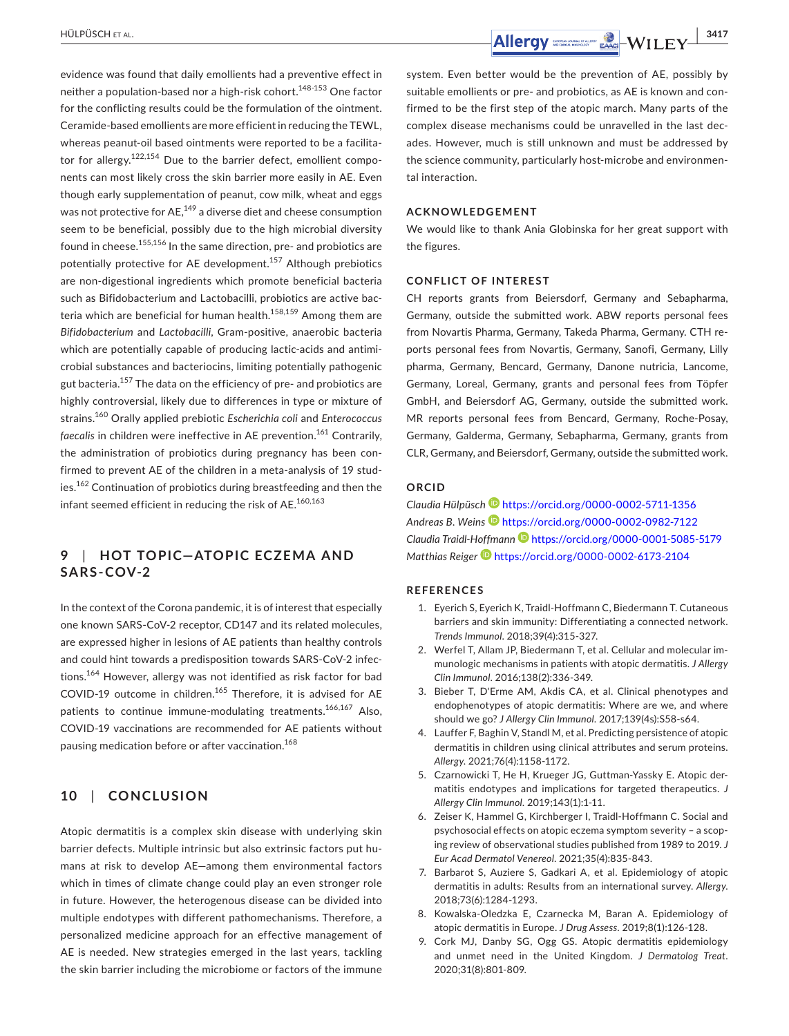evidence was found that daily emollients had a preventive effect in neither a population-based nor a high-risk cohort.<sup>148-153</sup> One factor for the conflicting results could be the formulation of the ointment. Ceramide-based emollients are more efficient in reducing the TEWL, whereas peanut-oil based ointments were reported to be a facilitator for allergy. $122,154$  Due to the barrier defect, emollient components can most likely cross the skin barrier more easily in AE. Even though early supplementation of peanut, cow milk, wheat and eggs was not protective for  $AE$ ,  $^{149}$  a diverse diet and cheese consumption seem to be beneficial, possibly due to the high microbial diversity found in cheese.<sup>155,156</sup> In the same direction, pre- and probiotics are potentially protective for AE development.<sup>157</sup> Although prebiotics are non-digestional ingredients which promote beneficial bacteria such as Bifidobacterium and Lactobacilli, probiotics are active bacteria which are beneficial for human health.<sup>158,159</sup> Among them are *Bifidobacterium* and *Lactobacilli*, Gram-positive, anaerobic bacteria which are potentially capable of producing lactic-acids and antimicrobial substances and bacteriocins, limiting potentially pathogenic gut bacteria.<sup>157</sup> The data on the efficiency of pre- and probiotics are highly controversial, likely due to differences in type or mixture of strains.160 Orally applied prebiotic *Escherichia coli* and *Enterococcus faecalis* in children were ineffective in AE prevention.<sup>161</sup> Contrarily, the administration of probiotics during pregnancy has been confirmed to prevent AE of the children in a meta-analysis of 19 studies.162 Continuation of probiotics during breastfeeding and then the infant seemed efficient in reducing the risk of AE.<sup>160,163</sup>

## **9**  | **HOT TOPIC—ATOPIC EC ZEMA AND SARS-COV-2**

In the context of the Corona pandemic, it is of interest that especially one known SARS-CoV-2 receptor, CD147 and its related molecules, are expressed higher in lesions of AE patients than healthy controls and could hint towards a predisposition towards SARS-CoV-2 infections.<sup>164</sup> However, allergy was not identified as risk factor for bad COVID-19 outcome in children.<sup>165</sup> Therefore, it is advised for AE patients to continue immune-modulating treatments.<sup>166,167</sup> Also, COVID-19 vaccinations are recommended for AE patients without pausing medication before or after vaccination.<sup>168</sup>

### **10**  | **CONCLUSION**

Atopic dermatitis is a complex skin disease with underlying skin barrier defects. Multiple intrinsic but also extrinsic factors put humans at risk to develop AE—among them environmental factors which in times of climate change could play an even stronger role in future. However, the heterogenous disease can be divided into multiple endotypes with different pathomechanisms. Therefore, a personalized medicine approach for an effective management of AE is needed. New strategies emerged in the last years, tackling the skin barrier including the microbiome or factors of the immune

 **Allergy** SACH ET AL. **19417** 

system. Even better would be the prevention of AE, possibly by suitable emollients or pre- and probiotics, as AE is known and confirmed to be the first step of the atopic march. Many parts of the complex disease mechanisms could be unravelled in the last decades. However, much is still unknown and must be addressed by the science community, particularly host-microbe and environmental interaction.

#### **ACKNOWLEDGEMENT**

We would like to thank Ania Globinska for her great support with the figures.

#### **CONFLICT OF INTEREST**

CH reports grants from Beiersdorf, Germany and Sebapharma, Germany, outside the submitted work. ABW reports personal fees from Novartis Pharma, Germany, Takeda Pharma, Germany. CTH reports personal fees from Novartis, Germany, Sanofi, Germany, Lilly pharma, Germany, Bencard, Germany, Danone nutricia, Lancome, Germany, Loreal, Germany, grants and personal fees from Töpfer GmbH, and Beiersdorf AG, Germany, outside the submitted work. MR reports personal fees from Bencard, Germany, Roche-Posay, Germany, Galderma, Germany, Sebapharma, Germany, grants from CLR, Germany, and Beiersdorf, Germany, outside the submitted work.

#### **ORCID**

*Claudia Hülpüsch* <https://orcid.org/0000-0002-5711-1356> *Andreas B. Weins* <https://orcid.org/0000-0002-0982-7122> *Claudia Traidl-Hoffman[n](https://orcid.org/0000-0001-5085-5179)* <https://orcid.org/0000-0001-5085-5179> *Matthias Reiger* <https://orcid.org/0000-0002-6173-2104>

#### **REFERENCES**

- 1. Eyerich S, Eyerich K, Traidl-Hoffmann C, Biedermann T. Cutaneous barriers and skin immunity: Differentiating a connected network. *Trends Immunol*. 2018;39(4):315-327.
- 2. Werfel T, Allam JP, Biedermann T, et al. Cellular and molecular immunologic mechanisms in patients with atopic dermatitis. *J Allergy Clin Immunol*. 2016;138(2):336-349.
- 3. Bieber T, D'Erme AM, Akdis CA, et al. Clinical phenotypes and endophenotypes of atopic dermatitis: Where are we, and where should we go? *J Allergy Clin Immunol*. 2017;139(4s):S58-s64.
- 4. Lauffer F, Baghin V, Standl M, et al. Predicting persistence of atopic dermatitis in children using clinical attributes and serum proteins. *Allergy*. 2021;76(4):1158-1172.
- 5. Czarnowicki T, He H, Krueger JG, Guttman-Yassky E. Atopic dermatitis endotypes and implications for targeted therapeutics. *J Allergy Clin Immunol*. 2019;143(1):1-11.
- 6. Zeiser K, Hammel G, Kirchberger I, Traidl-Hoffmann C. Social and psychosocial effects on atopic eczema symptom severity – a scoping review of observational studies published from 1989 to 2019. *J Eur Acad Dermatol Venereol*. 2021;35(4):835-843.
- 7. Barbarot S, Auziere S, Gadkari A, et al. Epidemiology of atopic dermatitis in adults: Results from an international survey. *Allergy*. 2018;73(6):1284-1293.
- 8. Kowalska-Oledzka E, Czarnecka M, Baran A. Epidemiology of atopic dermatitis in Europe. *J Drug Assess*. 2019;8(1):126-128.
- 9. Cork MJ, Danby SG, Ogg GS. Atopic dermatitis epidemiology and unmet need in the United Kingdom. *J Dermatolog Treat*. 2020;31(8):801-809.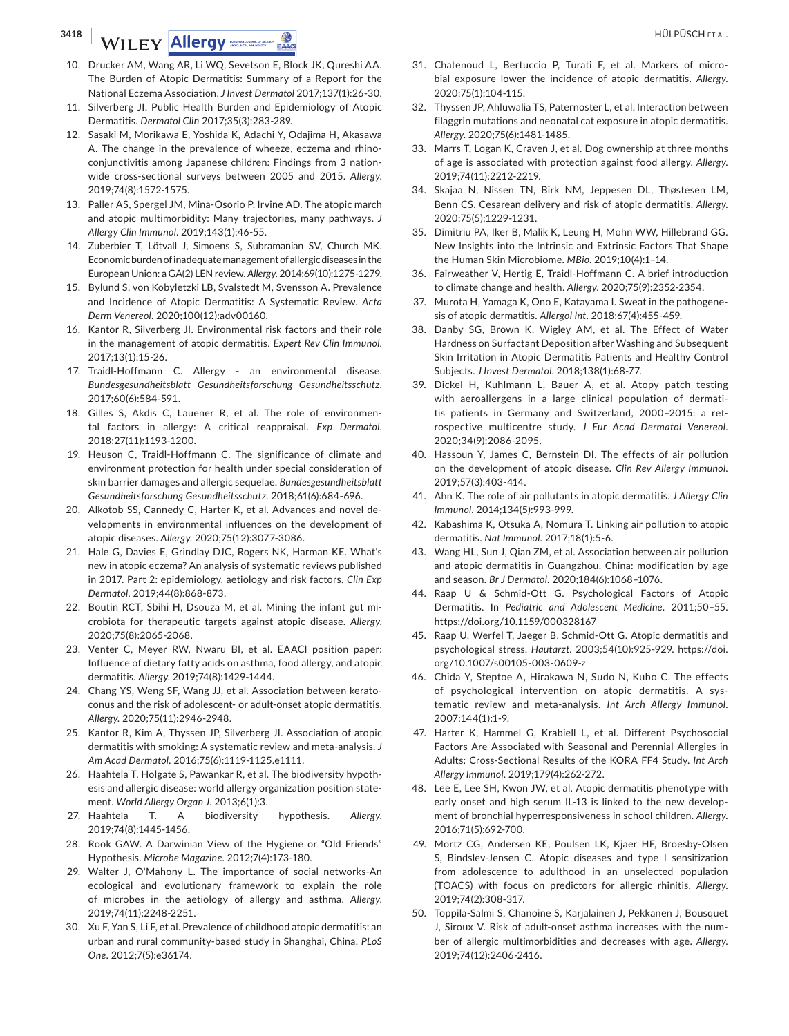**3418 | WILEY-Allergy SOCIETY ALLERGY CONSUMING CONTRACT CONTROL** 

- 10. Drucker AM, Wang AR, Li WQ, Sevetson E, Block JK, Qureshi AA. The Burden of Atopic Dermatitis: Summary of a Report for the National Eczema Association. *J Invest Dermatol* 2017;137(1):26-30.
- 11. Silverberg JI. Public Health Burden and Epidemiology of Atopic Dermatitis. *Dermatol Clin* 2017;35(3):283-289.
- 12. Sasaki M, Morikawa E, Yoshida K, Adachi Y, Odajima H, Akasawa A. The change in the prevalence of wheeze, eczema and rhinoconjunctivitis among Japanese children: Findings from 3 nationwide cross-sectional surveys between 2005 and 2015. *Allergy*. 2019;74(8):1572-1575.
- 13. Paller AS, Spergel JM, Mina-Osorio P, Irvine AD. The atopic march and atopic multimorbidity: Many trajectories, many pathways. *J Allergy Clin Immunol*. 2019;143(1):46-55.
- 14. Zuberbier T, Lötvall J, Simoens S, Subramanian SV, Church MK. Economic burden of inadequate management of allergic diseases in the European Union: a GA(2) LEN review. *Allergy*. 2014;69(10):1275-1279.
- 15. Bylund S, von Kobyletzki LB, Svalstedt M, Svensson A. Prevalence and Incidence of Atopic Dermatitis: A Systematic Review. *Acta Derm Venereol*. 2020;100(12):adv00160.
- 16. Kantor R, Silverberg JI. Environmental risk factors and their role in the management of atopic dermatitis. *Expert Rev Clin Immunol*. 2017;13(1):15-26.
- 17. Traidl-Hoffmann C. Allergy an environmental disease. *Bundesgesundheitsblatt Gesundheitsforschung Gesundheitsschutz*. 2017;60(6):584-591.
- 18. Gilles S, Akdis C, Lauener R, et al. The role of environmental factors in allergy: A critical reappraisal. *Exp Dermatol*. 2018;27(11):1193-1200.
- 19. Heuson C, Traidl-Hoffmann C. The significance of climate and environment protection for health under special consideration of skin barrier damages and allergic sequelae. *Bundesgesundheitsblatt Gesundheitsforschung Gesundheitsschutz*. 2018;61(6):684-696.
- 20. Alkotob SS, Cannedy C, Harter K, et al. Advances and novel developments in environmental influences on the development of atopic diseases. *Allergy*. 2020;75(12):3077-3086.
- 21. Hale G, Davies E, Grindlay DJC, Rogers NK, Harman KE. What's new in atopic eczema? An analysis of systematic reviews published in 2017. Part 2: epidemiology, aetiology and risk factors. *Clin Exp Dermatol*. 2019;44(8):868-873.
- 22. Boutin RCT, Sbihi H, Dsouza M, et al. Mining the infant gut microbiota for therapeutic targets against atopic disease. *Allergy*. 2020;75(8):2065-2068.
- 23. Venter C, Meyer RW, Nwaru BI, et al. EAACI position paper: Influence of dietary fatty acids on asthma, food allergy, and atopic dermatitis. *Allergy*. 2019;74(8):1429-1444.
- 24. Chang YS, Weng SF, Wang JJ, et al. Association between keratoconus and the risk of adolescent- or adult-onset atopic dermatitis. *Allergy*. 2020;75(11):2946-2948.
- 25. Kantor R, Kim A, Thyssen JP, Silverberg JI. Association of atopic dermatitis with smoking: A systematic review and meta-analysis. *J Am Acad Dermatol*. 2016;75(6):1119-1125.e1111.
- 26. Haahtela T, Holgate S, Pawankar R, et al. The biodiversity hypothesis and allergic disease: world allergy organization position statement. *World Allergy Organ J*. 2013;6(1):3.
- 27. Haahtela T. A biodiversity hypothesis. *Allergy*. 2019;74(8):1445-1456.
- 28. Rook GAW. A Darwinian View of the Hygiene or "Old Friends" Hypothesis. *Microbe Magazine*. 2012;7(4):173-180.
- 29. Walter J, O'Mahony L. The importance of social networks-An ecological and evolutionary framework to explain the role of microbes in the aetiology of allergy and asthma. *Allergy*. 2019;74(11):2248-2251.
- 30. Xu F, Yan S, Li F, et al. Prevalence of childhood atopic dermatitis: an urban and rural community-based study in Shanghai, China. *PLoS One*. 2012;7(5):e36174.
- 31. Chatenoud L, Bertuccio P, Turati F, et al. Markers of microbial exposure lower the incidence of atopic dermatitis. *Allergy*. 2020;75(1):104-115.
- 32. Thyssen JP, Ahluwalia TS, Paternoster L, et al. Interaction between filaggrin mutations and neonatal cat exposure in atopic dermatitis. *Allergy*. 2020;75(6):1481-1485.
- 33. Marrs T, Logan K, Craven J, et al. Dog ownership at three months of age is associated with protection against food allergy. *Allergy*. 2019;74(11):2212-2219.
- 34. Skajaa N, Nissen TN, Birk NM, Jeppesen DL, Thøstesen LM, Benn CS. Cesarean delivery and risk of atopic dermatitis. *Allergy*. 2020;75(5):1229-1231.
- 35. Dimitriu PA, Iker B, Malik K, Leung H, Mohn WW, Hillebrand GG. New Insights into the Intrinsic and Extrinsic Factors That Shape the Human Skin Microbiome. *MBio*. 2019;10(4):1–14.
- 36. Fairweather V, Hertig E, Traidl-Hoffmann C. A brief introduction to climate change and health. *Allergy*. 2020;75(9):2352-2354.
- 37. Murota H, Yamaga K, Ono E, Katayama I. Sweat in the pathogenesis of atopic dermatitis. *Allergol Int*. 2018;67(4):455-459.
- 38. Danby SG, Brown K, Wigley AM, et al. The Effect of Water Hardness on Surfactant Deposition after Washing and Subsequent Skin Irritation in Atopic Dermatitis Patients and Healthy Control Subjects. *J Invest Dermatol*. 2018;138(1):68-77.
- 39. Dickel H, Kuhlmann L, Bauer A, et al. Atopy patch testing with aeroallergens in a large clinical population of dermatitis patients in Germany and Switzerland, 2000–2015: a retrospective multicentre study. *J Eur Acad Dermatol Venereol*. 2020;34(9):2086-2095.
- 40. Hassoun Y, James C, Bernstein DI. The effects of air pollution on the development of atopic disease. *Clin Rev Allergy Immunol*. 2019;57(3):403-414.
- 41. Ahn K. The role of air pollutants in atopic dermatitis. *J Allergy Clin Immunol*. 2014;134(5):993-999.
- 42. Kabashima K, Otsuka A, Nomura T. Linking air pollution to atopic dermatitis. *Nat Immunol*. 2017;18(1):5-6.
- 43. Wang HL, Sun J, Qian ZM, et al. Association between air pollution and atopic dermatitis in Guangzhou, China: modification by age and season. *Br J Dermatol*. 2020;184(6):1068–1076.
- 44. Raap U & Schmid-Ott G. Psychological Factors of Atopic Dermatitis. In *Pediatric and Adolescent Medicine*. 2011;50–55. <https://doi.org/10.1159/000328167>
- 45. Raap U, Werfel T, Jaeger B, Schmid-Ott G. Atopic dermatitis and psychological stress. *Hautarzt*. 2003;54(10):925-929. [https://doi.](https://doi.org/10.1007/s00105-003-0609-z) [org/10.1007/s00105-003-0609-z](https://doi.org/10.1007/s00105-003-0609-z)
- 46. Chida Y, Steptoe A, Hirakawa N, Sudo N, Kubo C. The effects of psychological intervention on atopic dermatitis. A systematic review and meta-analysis. *Int Arch Allergy Immunol*. 2007;144(1):1-9.
- 47. Harter K, Hammel G, Krabiell L, et al. Different Psychosocial Factors Are Associated with Seasonal and Perennial Allergies in Adults: Cross-Sectional Results of the KORA FF4 Study. *Int Arch Allergy Immunol*. 2019;179(4):262-272.
- 48. Lee E, Lee SH, Kwon JW, et al. Atopic dermatitis phenotype with early onset and high serum IL-13 is linked to the new development of bronchial hyperresponsiveness in school children. *Allergy*. 2016;71(5):692-700.
- 49. Mortz CG, Andersen KE, Poulsen LK, Kjaer HF, Broesby-Olsen S, Bindslev-Jensen C. Atopic diseases and type I sensitization from adolescence to adulthood in an unselected population (TOACS) with focus on predictors for allergic rhinitis. *Allergy*. 2019;74(2):308-317.
- 50. Toppila-Salmi S, Chanoine S, Karjalainen J, Pekkanen J, Bousquet J, Siroux V. Risk of adult-onset asthma increases with the number of allergic multimorbidities and decreases with age. *Allergy*. 2019;74(12):2406-2416.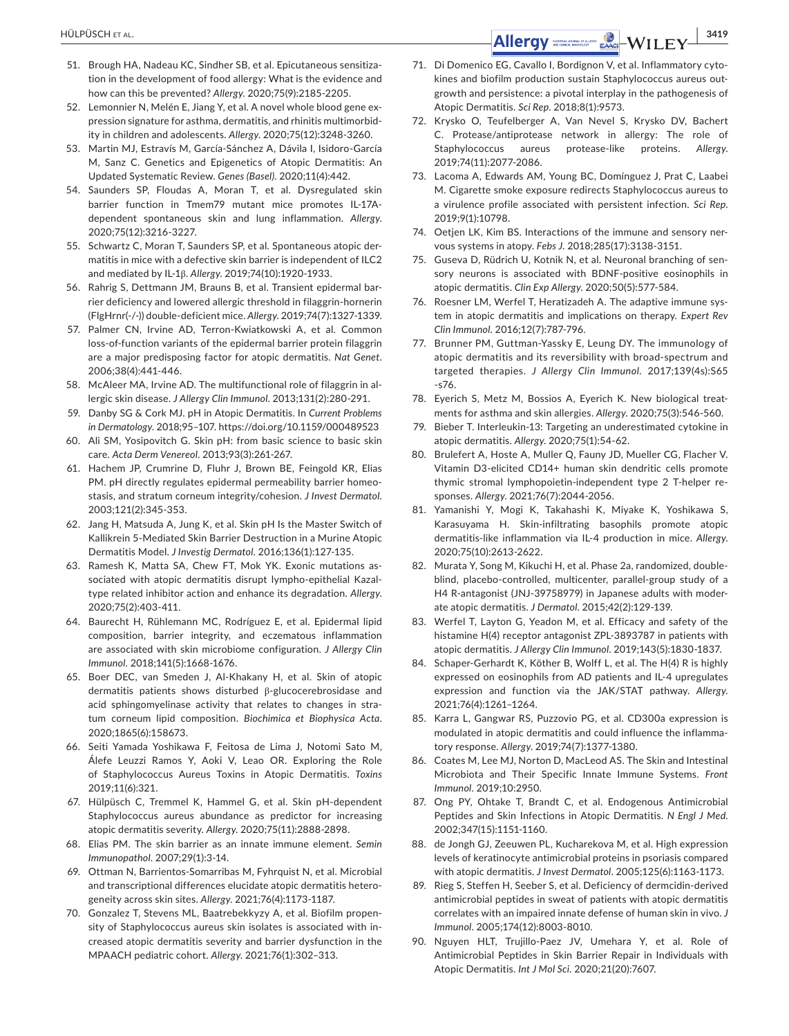- 51. Brough HA, Nadeau KC, Sindher SB, et al. Epicutaneous sensitization in the development of food allergy: What is the evidence and how can this be prevented? *Allergy*. 2020;75(9):2185-2205.
- 52. Lemonnier N, Melén E, Jiang Y, et al. A novel whole blood gene expression signature for asthma, dermatitis, and rhinitis multimorbidity in children and adolescents. *Allergy*. 2020;75(12):3248-3260.
- 53. Martin MJ, Estravís M, García-Sánchez A, Dávila I, Isidoro-García M, Sanz C. Genetics and Epigenetics of Atopic Dermatitis: An Updated Systematic Review. *Genes (Basel)*. 2020;11(4):442.
- 54. Saunders SP, Floudas A, Moran T, et al. Dysregulated skin barrier function in Tmem79 mutant mice promotes IL-17Adependent spontaneous skin and lung inflammation. *Allergy*. 2020;75(12):3216-3227.
- 55. Schwartz C, Moran T, Saunders SP, et al. Spontaneous atopic dermatitis in mice with a defective skin barrier is independent of ILC2 and mediated by IL-1β. *Allergy*. 2019;74(10):1920-1933.
- 56. Rahrig S, Dettmann JM, Brauns B, et al. Transient epidermal barrier deficiency and lowered allergic threshold in filaggrin-hornerin (FlgHrnr(-/-)) double-deficient mice. *Allergy*. 2019;74(7):1327-1339.
- 57. Palmer CN, Irvine AD, Terron-Kwiatkowski A, et al. Common loss-of-function variants of the epidermal barrier protein filaggrin are a major predisposing factor for atopic dermatitis. *Nat Genet*. 2006;38(4):441-446.
- 58. McAleer MA, Irvine AD. The multifunctional role of filaggrin in allergic skin disease. *J Allergy Clin Immunol*. 2013;131(2):280-291.
- 59. Danby SG & Cork MJ. pH in Atopic Dermatitis. In *Current Problems in Dermatology*. 2018;95–107.<https://doi.org/10.1159/000489523>
- 60. Ali SM, Yosipovitch G. Skin pH: from basic science to basic skin care. *Acta Derm Venereol*. 2013;93(3):261-267.
- 61. Hachem JP, Crumrine D, Fluhr J, Brown BE, Feingold KR, Elias PM. pH directly regulates epidermal permeability barrier homeostasis, and stratum corneum integrity/cohesion. *J Invest Dermatol*. 2003;121(2):345-353.
- 62. Jang H, Matsuda A, Jung K, et al. Skin pH Is the Master Switch of Kallikrein 5-Mediated Skin Barrier Destruction in a Murine Atopic Dermatitis Model. *J Investig Dermatol*. 2016;136(1):127-135.
- 63. Ramesh K, Matta SA, Chew FT, Mok YK. Exonic mutations associated with atopic dermatitis disrupt lympho-epithelial Kazaltype related inhibitor action and enhance its degradation. *Allergy*. 2020;75(2):403-411.
- 64. Baurecht H, Rühlemann MC, Rodríguez E, et al. Epidermal lipid composition, barrier integrity, and eczematous inflammation are associated with skin microbiome configuration. *J Allergy Clin Immunol*. 2018;141(5):1668-1676.
- 65. Boer DEC, van Smeden J, Al-Khakany H, et al. Skin of atopic dermatitis patients shows disturbed β-glucocerebrosidase and acid sphingomyelinase activity that relates to changes in stratum corneum lipid composition. *Biochimica et Biophysica Acta*. 2020;1865(6):158673.
- 66. Seiti Yamada Yoshikawa F, Feitosa de Lima J, Notomi Sato M, Álefe Leuzzi Ramos Y, Aoki V, Leao OR. Exploring the Role of Staphylococcus Aureus Toxins in Atopic Dermatitis. *Toxins* 2019;11(6):321.
- 67. Hülpüsch C, Tremmel K, Hammel G, et al. Skin pH-dependent Staphylococcus aureus abundance as predictor for increasing atopic dermatitis severity. *Allergy*. 2020;75(11):2888-2898.
- 68. Elias PM. The skin barrier as an innate immune element. *Semin Immunopathol*. 2007;29(1):3-14.
- 69. Ottman N, Barrientos-Somarribas M, Fyhrquist N, et al. Microbial and transcriptional differences elucidate atopic dermatitis heterogeneity across skin sites. *Allergy*. 2021;76(4):1173-1187.
- 70. Gonzalez T, Stevens ML, Baatrebekkyzy A, et al. Biofilm propensity of Staphylococcus aureus skin isolates is associated with increased atopic dermatitis severity and barrier dysfunction in the MPAACH pediatric cohort. *Allergy*. 2021;76(1):302–313.
- 71. Di Domenico EG, Cavallo I, Bordignon V, et al. Inflammatory cytokines and biofilm production sustain Staphylococcus aureus outgrowth and persistence: a pivotal interplay in the pathogenesis of Atopic Dermatitis. *Sci Rep*. 2018;8(1):9573.
- 72. Krysko O, Teufelberger A, Van Nevel S, Krysko DV, Bachert C. Protease/antiprotease network in allergy: The role of Staphylococcus aureus protease-like proteins. *Allergy*. 2019;74(11):2077-2086.
- 73. Lacoma A, Edwards AM, Young BC, Domínguez J, Prat C, Laabei M. Cigarette smoke exposure redirects Staphylococcus aureus to a virulence profile associated with persistent infection. *Sci Rep*. 2019;9(1):10798.
- 74. Oetjen LK, Kim BS. Interactions of the immune and sensory nervous systems in atopy. *Febs J*. 2018;285(17):3138-3151.
- 75. Guseva D, Rüdrich U, Kotnik N, et al. Neuronal branching of sensory neurons is associated with BDNF-positive eosinophils in atopic dermatitis. *Clin Exp Allergy*. 2020;50(5):577-584.
- 76. Roesner LM, Werfel T, Heratizadeh A. The adaptive immune system in atopic dermatitis and implications on therapy. *Expert Rev Clin Immunol*. 2016;12(7):787-796.
- 77. Brunner PM, Guttman-Yassky E, Leung DY. The immunology of atopic dermatitis and its reversibility with broad-spectrum and targeted therapies. *J Allergy Clin Immunol*. 2017;139(4s):S65 -s76.
- 78. Eyerich S, Metz M, Bossios A, Eyerich K. New biological treatments for asthma and skin allergies. *Allergy*. 2020;75(3):546-560.
- 79. Bieber T. Interleukin-13: Targeting an underestimated cytokine in atopic dermatitis. *Allergy*. 2020;75(1):54-62.
- 80. Brulefert A, Hoste A, Muller Q, Fauny JD, Mueller CG, Flacher V. Vitamin D3-elicited CD14+ human skin dendritic cells promote thymic stromal lymphopoietin-independent type 2 T-helper responses. *Allergy*. 2021;76(7):2044-2056.
- 81. Yamanishi Y, Mogi K, Takahashi K, Miyake K, Yoshikawa S, Karasuyama H. Skin-infiltrating basophils promote atopic dermatitis-like inflammation via IL-4 production in mice. *Allergy*. 2020;75(10):2613-2622.
- 82. Murata Y, Song M, Kikuchi H, et al. Phase 2a, randomized, doubleblind, placebo-controlled, multicenter, parallel-group study of a H4 R-antagonist (JNJ-39758979) in Japanese adults with moderate atopic dermatitis. *J Dermatol*. 2015;42(2):129-139.
- 83. Werfel T, Layton G, Yeadon M, et al. Efficacy and safety of the histamine H(4) receptor antagonist ZPL-3893787 in patients with atopic dermatitis. *J Allergy Clin Immunol*. 2019;143(5):1830-1837.
- 84. Schaper-Gerhardt K, Köther B, Wolff L, et al. The H(4) R is highly expressed on eosinophils from AD patients and IL-4 upregulates expression and function via the JAK/STAT pathway. *Allergy*. 2021;76(4):1261–1264.
- 85. Karra L, Gangwar RS, Puzzovio PG, et al. CD300a expression is modulated in atopic dermatitis and could influence the inflammatory response. *Allergy*. 2019;74(7):1377-1380.
- 86. Coates M, Lee MJ, Norton D, MacLeod AS. The Skin and Intestinal Microbiota and Their Specific Innate Immune Systems. *Front Immunol*. 2019;10:2950.
- 87. Ong PY, Ohtake T, Brandt C, et al. Endogenous Antimicrobial Peptides and Skin Infections in Atopic Dermatitis. *N Engl J Med*. 2002;347(15):1151-1160.
- 88. de Jongh GJ, Zeeuwen PL, Kucharekova M, et al. High expression levels of keratinocyte antimicrobial proteins in psoriasis compared with atopic dermatitis. *J Invest Dermatol*. 2005;125(6):1163-1173.
- 89. Rieg S, Steffen H, Seeber S, et al. Deficiency of dermcidin-derived antimicrobial peptides in sweat of patients with atopic dermatitis correlates with an impaired innate defense of human skin in vivo. *J Immunol*. 2005;174(12):8003-8010.
- 90. Nguyen HLT, Trujillo-Paez JV, Umehara Y, et al. Role of Antimicrobial Peptides in Skin Barrier Repair in Individuals with Atopic Dermatitis. *Int J Mol Sci*. 2020;21(20):7607.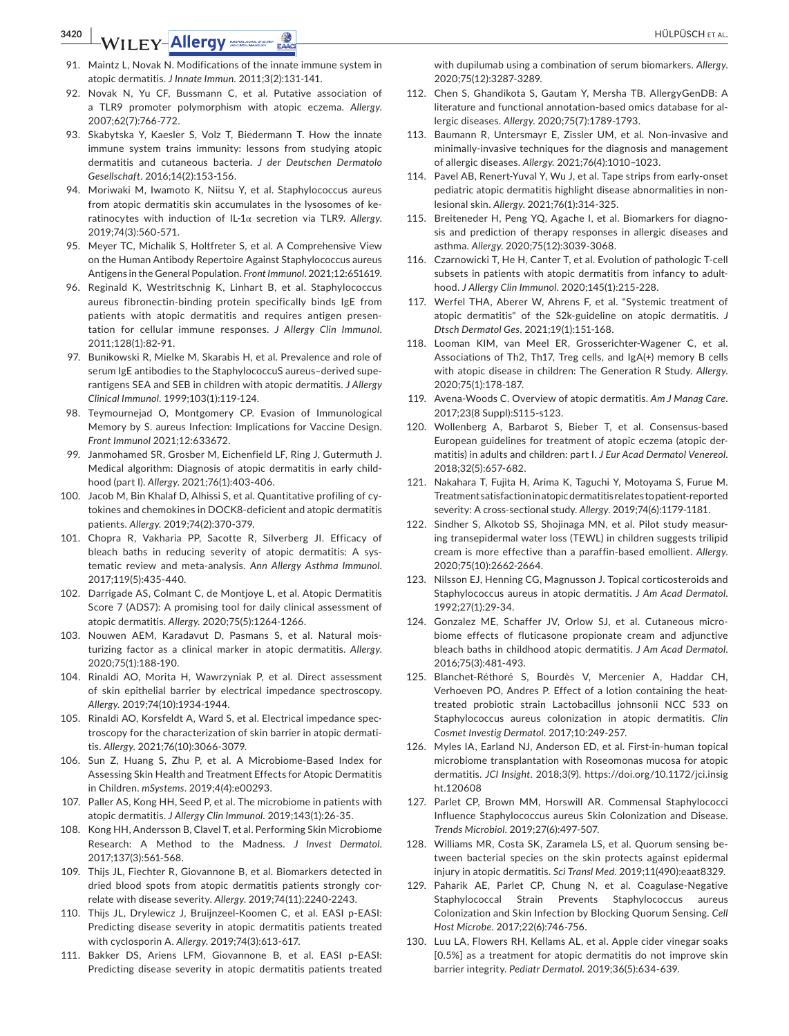# **3420 | WILEY-Allergy** *BOODY BOODY BOODY* **EACH**

- 91. Maintz L, Novak N. Modifications of the innate immune system in atopic dermatitis. *J Innate Immun*. 2011;3(2):131-141.
- 92. Novak N, Yu CF, Bussmann C, et al. Putative association of a TLR9 promoter polymorphism with atopic eczema. *Allergy*. 2007;62(7):766-772.
- 93. Skabytska Y, Kaesler S, Volz T, Biedermann T. How the innate immune system trains immunity: lessons from studying atopic dermatitis and cutaneous bacteria. *J der Deutschen Dermatolo Gesellschaft*. 2016;14(2):153-156.
- 94. Moriwaki M, Iwamoto K, Niitsu Y, et al. Staphylococcus aureus from atopic dermatitis skin accumulates in the lysosomes of keratinocytes with induction of IL-1α secretion via TLR9. *Allergy*. 2019;74(3):560-571.
- 95. Meyer TC, Michalik S, Holtfreter S, et al. A Comprehensive View on the Human Antibody Repertoire Against Staphylococcus aureus Antigens in the General Population. *Front Immunol*. 2021;12:651619.
- 96. Reginald K, Westritschnig K, Linhart B, et al. Staphylococcus aureus fibronectin-binding protein specifically binds IgE from patients with atopic dermatitis and requires antigen presentation for cellular immune responses. *J Allergy Clin Immunol*. 2011;128(1):82-91.
- 97. Bunikowski R, Mielke M, Skarabis H, et al. Prevalence and role of serum IgE antibodies to the StaphylococcuS aureus–derived superantigens SEA and SEB in children with atopic dermatitis. *J Allergy Clinical Immunol*. 1999;103(1):119-124.
- 98. Teymournejad O, Montgomery CP. Evasion of Immunological Memory by S. aureus Infection: Implications for Vaccine Design. *Front Immunol* 2021;12:633672.
- 99. Janmohamed SR, Grosber M, Eichenfield LF, Ring J, Gutermuth J. Medical algorithm: Diagnosis of atopic dermatitis in early childhood (part I). *Allergy*. 2021;76(1):403-406.
- 100. Jacob M, Bin Khalaf D, Alhissi S, et al. Quantitative profiling of cytokines and chemokines in DOCK8-deficient and atopic dermatitis patients. *Allergy*. 2019;74(2):370-379.
- 101. Chopra R, Vakharia PP, Sacotte R, Silverberg JI. Efficacy of bleach baths in reducing severity of atopic dermatitis: A systematic review and meta-analysis. *Ann Allergy Asthma Immunol*. 2017;119(5):435-440.
- 102. Darrigade AS, Colmant C, de Montjoye L, et al. Atopic Dermatitis Score 7 (ADS7): A promising tool for daily clinical assessment of atopic dermatitis. *Allergy*. 2020;75(5):1264-1266.
- 103. Nouwen AEM, Karadavut D, Pasmans S, et al. Natural moisturizing factor as a clinical marker in atopic dermatitis. *Allergy*. 2020;75(1):188-190.
- 104. Rinaldi AO, Morita H, Wawrzyniak P, et al. Direct assessment of skin epithelial barrier by electrical impedance spectroscopy. *Allergy*. 2019;74(10):1934-1944.
- 105. Rinaldi AO, Korsfeldt A, Ward S, et al. Electrical impedance spectroscopy for the characterization of skin barrier in atopic dermatitis. *Allergy*. 2021;76(10):3066-3079.
- 106. Sun Z, Huang S, Zhu P, et al. A Microbiome-Based Index for Assessing Skin Health and Treatment Effects for Atopic Dermatitis in Children. *mSystems*. 2019;4(4):e00293.
- 107. Paller AS, Kong HH, Seed P, et al. The microbiome in patients with atopic dermatitis. *J Allergy Clin Immunol*. 2019;143(1):26-35.
- 108. Kong HH, Andersson B, Clavel T, et al. Performing Skin Microbiome Research: A Method to the Madness. *J Invest Dermatol*. 2017;137(3):561-568.
- 109. Thijs JL, Fiechter R, Giovannone B, et al. Biomarkers detected in dried blood spots from atopic dermatitis patients strongly correlate with disease severity. *Allergy*. 2019;74(11):2240-2243.
- 110. Thijs JL, Drylewicz J, Bruijnzeel-Koomen C, et al. EASI p-EASI: Predicting disease severity in atopic dermatitis patients treated with cyclosporin A. *Allergy*. 2019;74(3):613-617.
- 111. Bakker DS, Ariens LFM, Giovannone B, et al. EASI p-EASI: Predicting disease severity in atopic dermatitis patients treated

with dupilumab using a combination of serum biomarkers. *Allergy*. 2020;75(12):3287-3289.

- 112. Chen S, Ghandikota S, Gautam Y, Mersha TB. AllergyGenDB: A literature and functional annotation-based omics database for allergic diseases. *Allergy*. 2020;75(7):1789-1793.
- 113. Baumann R, Untersmayr E, Zissler UM, et al. Non-invasive and minimally-invasive techniques for the diagnosis and management of allergic diseases. *Allergy*. 2021;76(4):1010–1023.
- 114. Pavel AB, Renert-Yuval Y, Wu J, et al. Tape strips from early-onset pediatric atopic dermatitis highlight disease abnormalities in nonlesional skin. *Allergy*. 2021;76(1):314-325.
- 115. Breiteneder H, Peng YQ, Agache I, et al. Biomarkers for diagnosis and prediction of therapy responses in allergic diseases and asthma. *Allergy*. 2020;75(12):3039-3068.
- 116. Czarnowicki T, He H, Canter T, et al. Evolution of pathologic T-cell subsets in patients with atopic dermatitis from infancy to adulthood. *J Allergy Clin Immunol*. 2020;145(1):215-228.
- 117. Werfel THA, Aberer W, Ahrens F, et al. "Systemic treatment of atopic dermatitis" of the S2k-guideline on atopic dermatitis. *J Dtsch Dermatol Ges*. 2021;19(1):151-168.
- 118. Looman KIM, van Meel ER, Grosserichter-Wagener C, et al. Associations of Th2, Th17, Treg cells, and IgA(+) memory B cells with atopic disease in children: The Generation R Study. *Allergy*. 2020;75(1):178-187.
- 119. Avena-Woods C. Overview of atopic dermatitis. *Am J Manag Care*. 2017;23(8 Suppl):S115-s123.
- 120. Wollenberg A, Barbarot S, Bieber T, et al. Consensus-based European guidelines for treatment of atopic eczema (atopic dermatitis) in adults and children: part I. *J Eur Acad Dermatol Venereol*. 2018;32(5):657-682.
- 121. Nakahara T, Fujita H, Arima K, Taguchi Y, Motoyama S, Furue M. Treatment satisfaction in atopic dermatitis relates to patient-reported severity: A cross-sectional study. *Allergy*. 2019;74(6):1179-1181.
- 122. Sindher S, Alkotob SS, Shojinaga MN, et al. Pilot study measuring transepidermal water loss (TEWL) in children suggests trilipid cream is more effective than a paraffin-based emollient. *Allergy*. 2020;75(10):2662-2664.
- 123. Nilsson EJ, Henning CG, Magnusson J. Topical corticosteroids and Staphylococcus aureus in atopic dermatitis. *J Am Acad Dermatol*. 1992;27(1):29-34.
- 124. Gonzalez ME, Schaffer JV, Orlow SJ, et al. Cutaneous microbiome effects of fluticasone propionate cream and adjunctive bleach baths in childhood atopic dermatitis. *J Am Acad Dermatol*. 2016;75(3):481-493.
- 125. Blanchet-Réthoré S, Bourdès V, Mercenier A, Haddar CH, Verhoeven PO, Andres P. Effect of a lotion containing the heattreated probiotic strain Lactobacillus johnsonii NCC 533 on Staphylococcus aureus colonization in atopic dermatitis. *Clin Cosmet Investig Dermatol*. 2017;10:249-257.
- 126. Myles IA, Earland NJ, Anderson ED, et al. First-in-human topical microbiome transplantation with Roseomonas mucosa for atopic dermatitis. *JCI Insight*. 2018;3(9). [https://doi.org/10.1172/jci.insig](https://doi.org/10.1172/jci.insight.120608) [ht.120608](https://doi.org/10.1172/jci.insight.120608)
- 127. Parlet CP, Brown MM, Horswill AR. Commensal Staphylococci Influence Staphylococcus aureus Skin Colonization and Disease. *Trends Microbiol*. 2019;27(6):497-507.
- 128. Williams MR, Costa SK, Zaramela LS, et al. Quorum sensing between bacterial species on the skin protects against epidermal injury in atopic dermatitis. *Sci Transl Med*. 2019;11(490):eaat8329.
- 129. Paharik AE, Parlet CP, Chung N, et al. Coagulase-Negative Staphylococcal Strain Prevents Staphylococcus aureus Colonization and Skin Infection by Blocking Quorum Sensing. *Cell Host Microbe*. 2017;22(6):746-756.
- 130. Luu LA, Flowers RH, Kellams AL, et al. Apple cider vinegar soaks [0.5%] as a treatment for atopic dermatitis do not improve skin barrier integrity. *Pediatr Dermatol*. 2019;36(5):634-639.